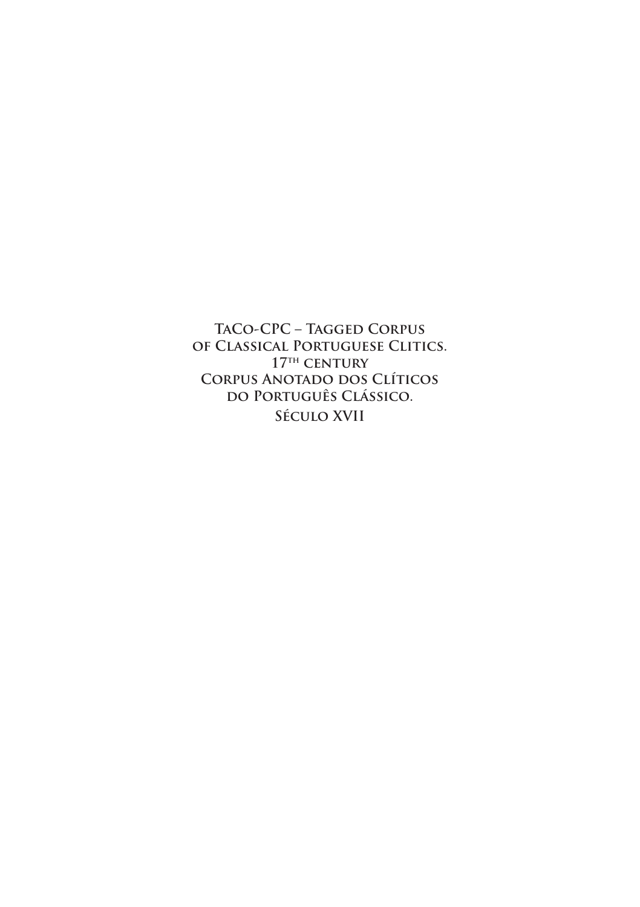**TaCo-CPC – Tagged Corpus of Classical Portuguese Clitics. 17th century Corpus Anotado dos Clíticos do Português Clássico. Século XVII**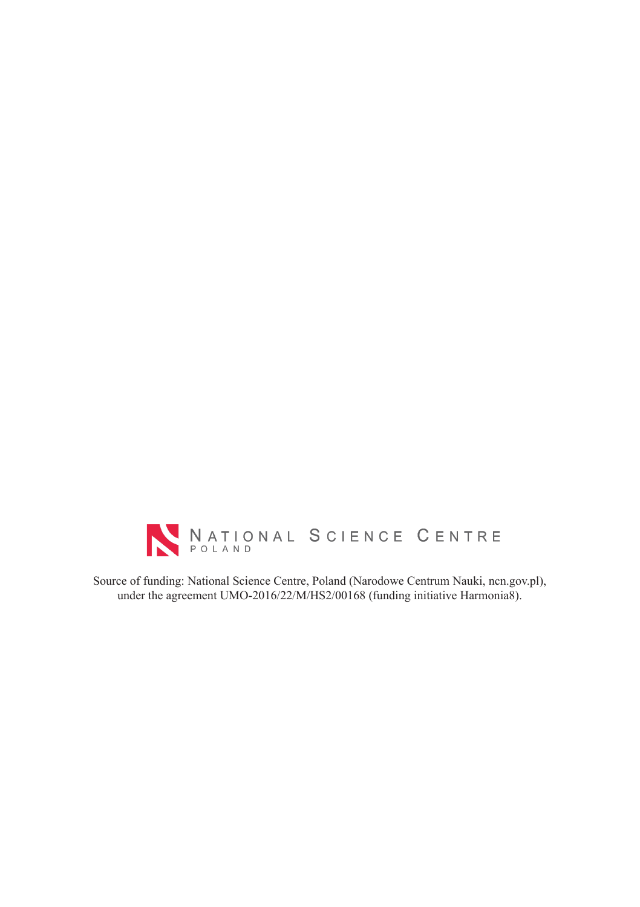

Source of funding: National Science Centre, Poland (Narodowe Centrum Nauki, ncn.gov.pl), under the agreement UMO-2016/22/M/HS2/00168 (funding initiative Harmonia8).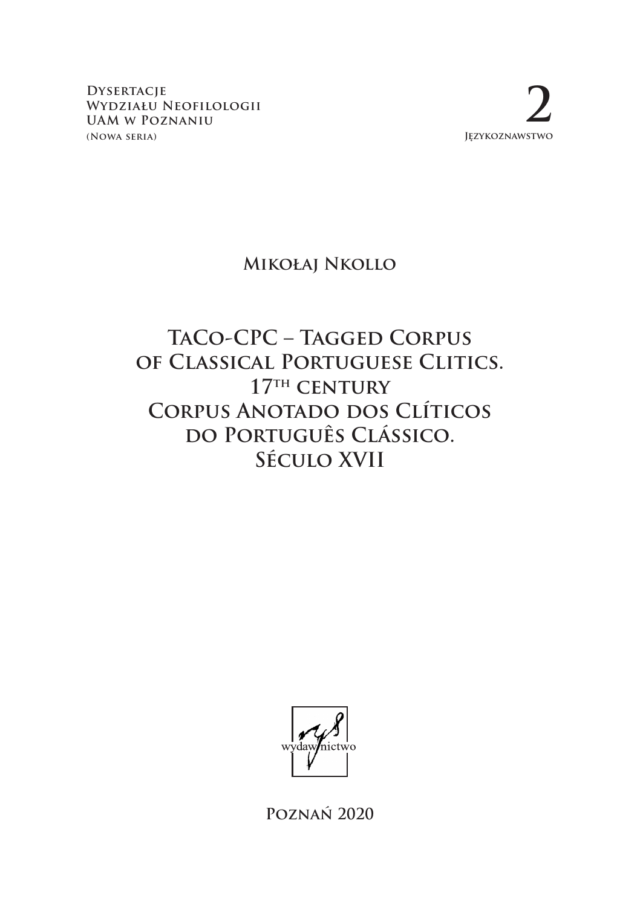**Dysertacje Wydziału Neofilologii UAM w Poznaniu (Nowa seria)**

**2 Językoznawstwo**

#### **Mikołaj Nkollo**

# **TaCo-CPC – Tagged Corpus of Classical Portuguese Clitics. 17th century CORPUS ANOTADO DOS CLÍTICOS do Português Clássico. Século XVII**



**Poznań 2020**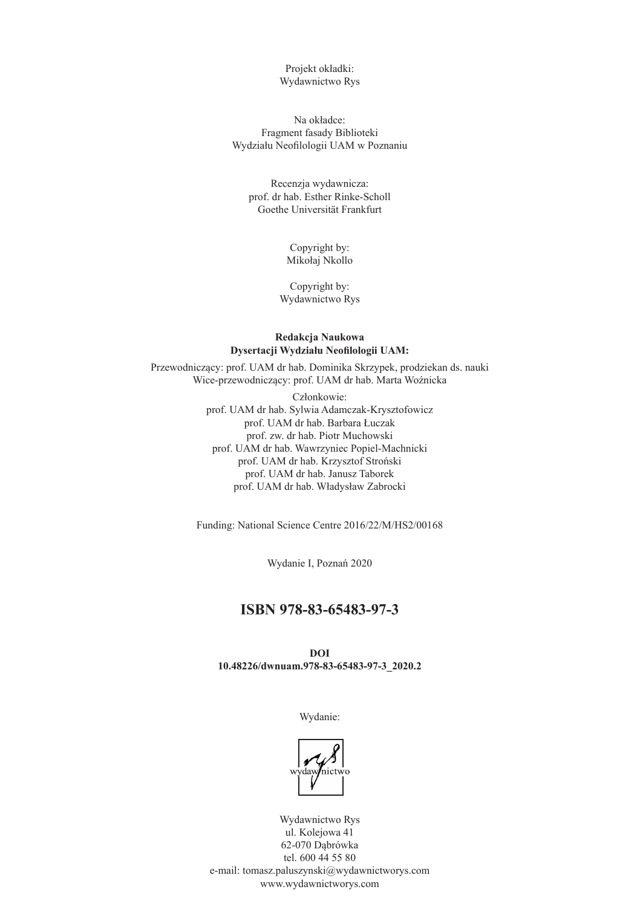Projekt okładki: Wydawnictwo Rys

Na okładce: Fragment fasady Biblioteki Wydziału Neofilologii UAM w Poznaniu

Recenzja wydawnicza: prof. dr hab. Esther Rinke-Scholl Goethe Universität Frankfurt

> Copyright by: Mikołaj Nkollo

Copyright by: Wydawnictwo Rys

#### **Redakcja Naukowa Dysertacji Wydziału Neofilologii UAM:**

Przewodniczący: prof. UAM dr hab. Dominika Skrzypek, prodziekan ds. nauki Wice-przewodniczący: prof. UAM dr hab. Marta Woźnicka

> Członkowie: prof. UAM dr hab. Sylwia Adamczak-Krysztofowicz prof. UAM dr hab. Barbara Łuczak prof. zw. dr hab. Piotr Muchowski prof. UAM dr hab. Wawrzyniec Popiel-Machnicki prof. UAM dr hab. Krzysztof Stroński prof. UAM dr hab. Janusz Taborek prof. UAM dr hab. Władysław Zabrocki

Funding: National Science Centre 2016/22/M/HS2/00168

Wydanie I, Poznań 2020

#### **ISBN 978-83-65483-97-3**

**DOI 10.48226/dwnuam.978-83-65483-97-3\_2020.2**

Wydanie:



Wydawnictwo Rys ul. Kolejowa 41 62-070 Dąbrówka tel. 600 44 55 80 e-mail: tomasz.paluszynski@wydawnictworys.com www.wydawnictworys.com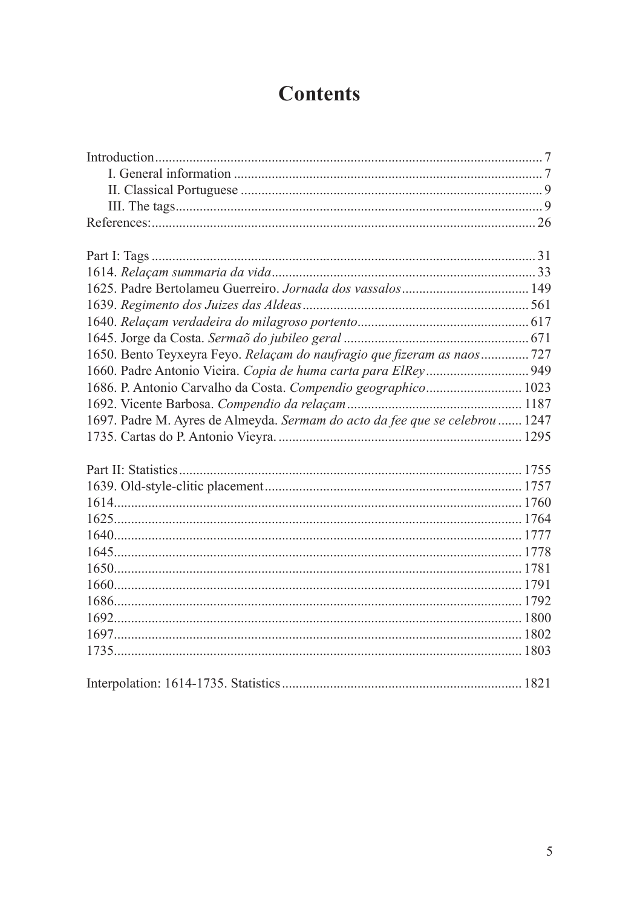# **Contents**

| 1650. Bento Teyxeyra Feyo. Relaçam do naufragio que fizeram as naos 727      |
|------------------------------------------------------------------------------|
|                                                                              |
| 1686. P. Antonio Carvalho da Costa. Compendio geographico 1023               |
|                                                                              |
| 1697. Padre M. Ayres de Almeyda. Sermam do acto da fee que se celebrou  1247 |
|                                                                              |
|                                                                              |
|                                                                              |
|                                                                              |
|                                                                              |
|                                                                              |
|                                                                              |
|                                                                              |
|                                                                              |
|                                                                              |
|                                                                              |
|                                                                              |
|                                                                              |
|                                                                              |
|                                                                              |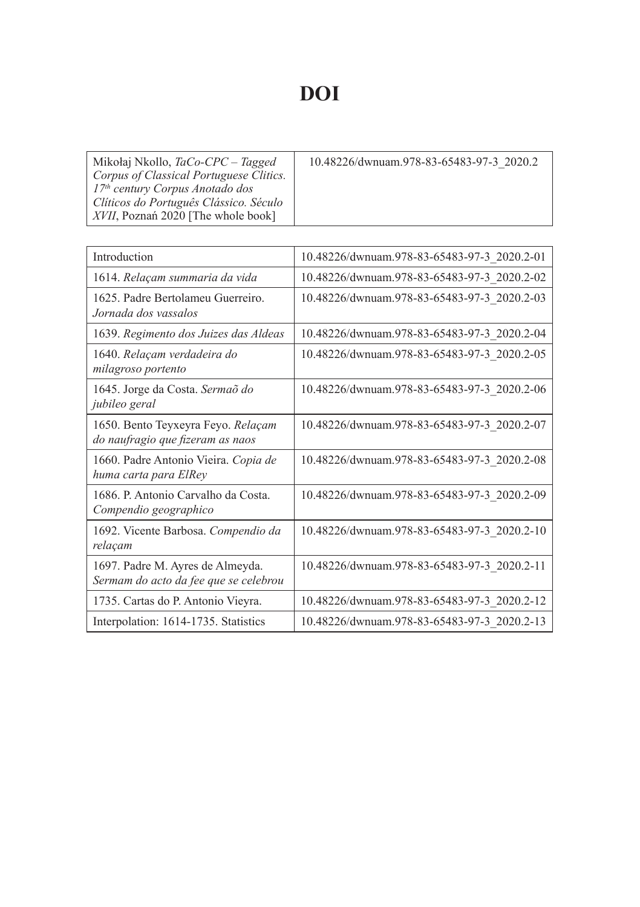# **DOI**

| Mikołaj Nkollo, TaCo-CPC – Tagged<br>Corpus of Classical Portuguese Clitics. | 10.48226/dwnuam.978-83-65483-97-3 2020.2 |
|------------------------------------------------------------------------------|------------------------------------------|
| $17th$ century Corpus Anotado dos<br>Clíticos do Português Clássico. Século  |                                          |
| XVII, Poznań 2020 [The whole book]                                           |                                          |

| Introduction                                                              | 10.48226/dwnuam.978-83-65483-97-3 2020.2-01 |
|---------------------------------------------------------------------------|---------------------------------------------|
| 1614. Relaçam summaria da vida                                            | 10.48226/dwnuam.978-83-65483-97-3 2020.2-02 |
| 1625. Padre Bertolameu Guerreiro.<br>Jornada dos vassalos                 | 10.48226/dwnuam.978-83-65483-97-3 2020.2-03 |
| 1639. Regimento dos Juizes das Aldeas                                     | 10.48226/dwnuam.978-83-65483-97-3_2020.2-04 |
| 1640. Relaçam verdadeira do<br>milagroso portento                         | 10.48226/dwnuam.978-83-65483-97-3 2020.2-05 |
| 1645. Jorge da Costa. Sermaõ do<br>jubileo geral                          | 10.48226/dwnuam.978-83-65483-97-3 2020.2-06 |
| 1650. Bento Teyxeyra Feyo. Relaçam<br>do naufragio que fizeram as naos    | 10.48226/dwnuam.978-83-65483-97-3 2020.2-07 |
| 1660. Padre Antonio Vieira. Copia de<br>huma carta para ElRey             | 10.48226/dwnuam.978-83-65483-97-3 2020.2-08 |
| 1686. P. Antonio Carvalho da Costa.<br>Compendio geographico              | 10.48226/dwnuam.978-83-65483-97-3 2020.2-09 |
| 1692. Vicente Barbosa. Compendio da<br>relaçam                            | 10.48226/dwnuam.978-83-65483-97-3 2020.2-10 |
| 1697. Padre M. Ayres de Almeyda.<br>Sermam do acto da fee que se celebrou | 10.48226/dwnuam.978-83-65483-97-3 2020.2-11 |
| 1735. Cartas do P. Antonio Vieyra.                                        | 10.48226/dwnuam.978-83-65483-97-3 2020.2-12 |
| Interpolation: 1614-1735. Statistics                                      | 10.48226/dwnuam.978-83-65483-97-3 2020.2-13 |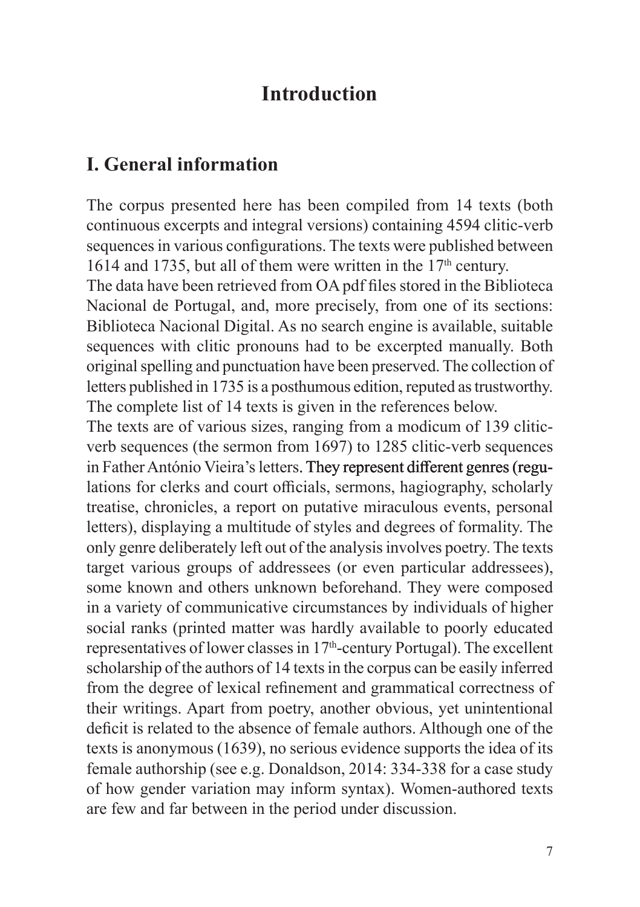### **Introduction**

### <span id="page-6-0"></span>**I. General information**

The corpus presented here has been compiled from 14 texts (both continuous excerpts and integral versions) containing 4594 clitic-verb sequences in various configurations. The texts were published between 1614 and 1735, but all of them were written in the  $17<sup>th</sup>$  century.

The data have been retrieved from OA pdf files stored in the Biblioteca Nacional de Portugal, and, more precisely, from one of its sections: Biblioteca Nacional Digital. As no search engine is available, suitable sequences with clitic pronouns had to be excerpted manually. Both original spelling and punctuation have been preserved. The collection of letters published in 1735 is a posthumous edition, reputed as trustworthy. The complete list of 14 texts is given in the references below.

The texts are of various sizes, ranging from a modicum of 139 cliticverb sequences (the sermon from 1697) to 1285 clitic-verb sequences in Father António Vieira's letters. They represent different genres (regulations for clerks and court officials, sermons, hagiography, scholarly treatise, chronicles, a report on putative miraculous events, personal letters), displaying a multitude of styles and degrees of formality. The only genre deliberately left out of the analysis involves poetry. The texts target various groups of addressees (or even particular addressees), some known and others unknown beforehand. They were composed in a variety of communicative circumstances by individuals of higher social ranks (printed matter was hardly available to poorly educated representatives of lower classes in 17th-century Portugal). The excellent scholarship of the authors of 14 texts in the corpus can be easily inferred from the degree of lexical refinement and grammatical correctness of their writings. Apart from poetry, another obvious, yet unintentional deficit is related to the absence of female authors. Although one of the texts is anonymous (1639), no serious evidence supports the idea of its female authorship (see e.g. Donaldson, 2014: 334-338 for a case study of how gender variation may inform syntax). Women-authored texts are few and far between in the period under discussion.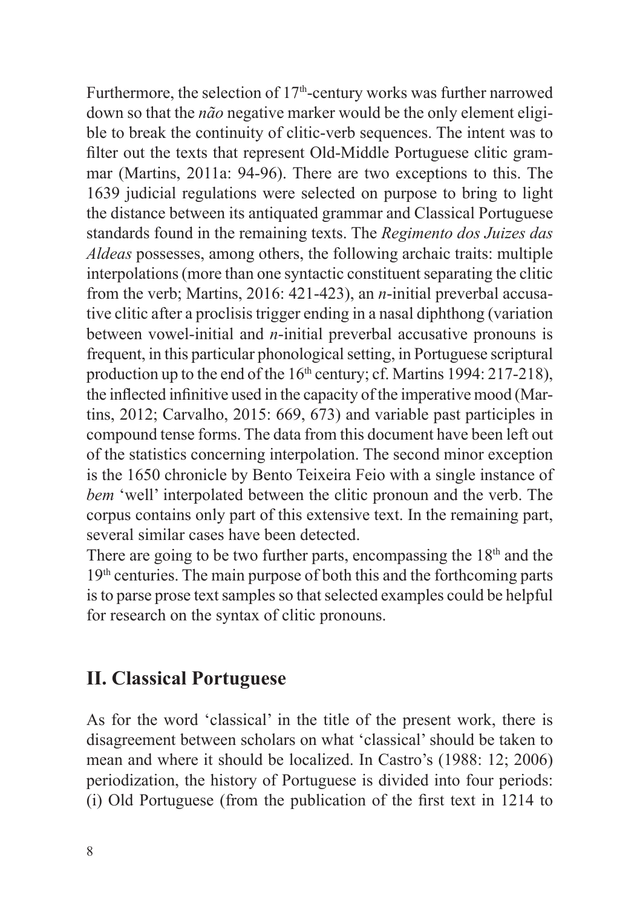<span id="page-7-0"></span>Furthermore, the selection of  $17<sup>th</sup>$ -century works was further narrowed down so that the *não* negative marker would be the only element eligible to break the continuity of clitic-verb sequences. The intent was to filter out the texts that represent Old-Middle Portuguese clitic grammar (Martins, 2011a: 94-96). There are two exceptions to this. The 1639 judicial regulations were selected on purpose to bring to light the distance between its antiquated grammar and Classical Portuguese standards found in the remaining texts. The *Regimento dos Juizes das Aldeas* possesses, among others, the following archaic traits: multiple interpolations (more than one syntactic constituent separating the clitic from the verb; Martins, 2016: 421-423), an *n*-initial preverbal accusative clitic after a proclisis trigger ending in a nasal diphthong (variation between vowel-initial and *n*-initial preverbal accusative pronouns is frequent, in this particular phonological setting, in Portuguese scriptural production up to the end of the  $16<sup>th</sup>$  century; cf. Martins 1994: 217-218), the inflected infinitive used in the capacity of the imperative mood (Martins, 2012; Carvalho, 2015: 669, 673) and variable past participles in compound tense forms. The data from this document have been left out of the statistics concerning interpolation. The second minor exception is the 1650 chronicle by Bento Teixeira Feio with a single instance of *bem* 'well' interpolated between the clitic pronoun and the verb. The corpus contains only part of this extensive text. In the remaining part, several similar cases have been detected.

There are going to be two further parts, encompassing the  $18<sup>th</sup>$  and the  $19<sup>th</sup>$  centuries. The main purpose of both this and the forthcoming parts is to parse prose text samples so that selected examples could be helpful for research on the syntax of clitic pronouns.

#### **II. Classical Portuguese**

As for the word 'classical' in the title of the present work, there is disagreement between scholars on what 'classical' should be taken to mean and where it should be localized. In Castro's (1988: 12; 2006) periodization, the history of Portuguese is divided into four periods: (i) Old Portuguese (from the publication of the first text in 1214 to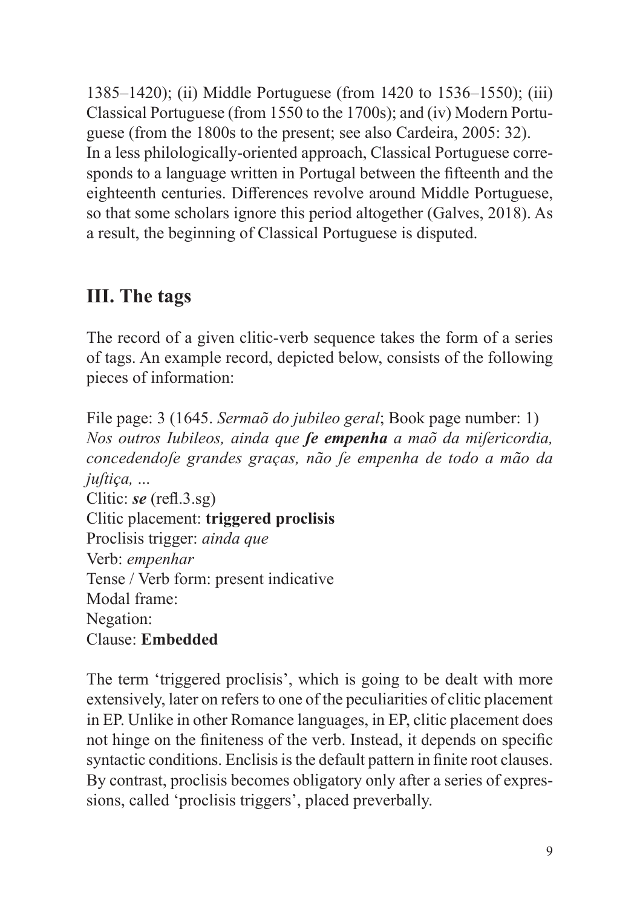<span id="page-8-0"></span>1385–1420); (ii) Middle Portuguese (from 1420 to 1536–1550); (iii) Classical Portuguese (from 1550 to the 1700s); and (iv) Modern Portuguese (from the 1800s to the present; see also Cardeira, 2005: 32). In a less philologically-oriented approach, Classical Portuguese corresponds to a language written in Portugal between the fifteenth and the eighteenth centuries. Differences revolve around Middle Portuguese, so that some scholars ignore this period altogether (Galves, 2018). As a result, the beginning of Classical Portuguese is disputed.

## **III. The tags**

The record of a given clitic-verb sequence takes the form of a series of tags. An example record, depicted below, consists of the following pieces of information:

File page: 3 (1645. *Sermaõ do jubileo geral*; Book page number: 1) *Nos outros Iubileos, ainda que ſe empenha a maõ da miſericordia, concedendoſe grandes graças, não ſe empenha de todo a mão da juſtiça,* ... Clitic: *se* (refl.3.sg) Clitic placement: **triggered proclisis** Proclisis trigger: *ainda que* Verb: *empenhar* Tense / Verb form: present indicative Modal frame: Negation:

Clause: **Embedded**

The term 'triggered proclisis', which is going to be dealt with more extensively, later on refers to one of the peculiarities of clitic placement in EP. Unlike in other Romance languages, in EP, clitic placement does not hinge on the finiteness of the verb. Instead, it depends on specific syntactic conditions. Enclisis is the default pattern in finite root clauses. By contrast, proclisis becomes obligatory only after a series of expressions, called 'proclisis triggers', placed preverbally.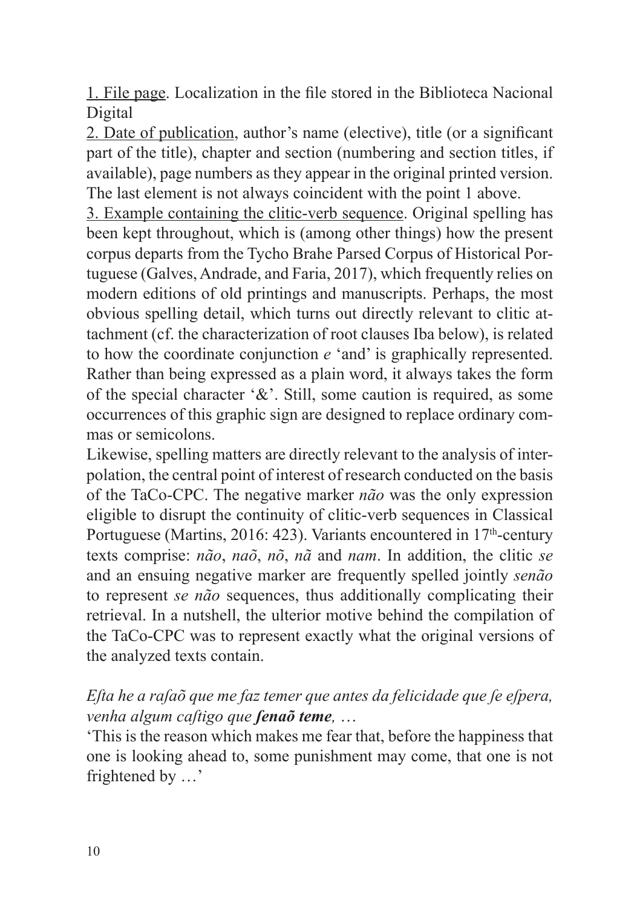1. File page. Localization in the file stored in the Biblioteca Nacional Digital

2. Date of publication, author's name (elective), title (or a significant part of the title), chapter and section (numbering and section titles, if available), page numbers as they appear in the original printed version. The last element is not always coincident with the point 1 above.

3. Example containing the clitic-verb sequence. Original spelling has been kept throughout, which is (among other things) how the present corpus departs from the Tycho Brahe Parsed Corpus of Historical Portuguese (Galves, Andrade, and Faria, 2017), which frequently relies on modern editions of old printings and manuscripts. Perhaps, the most obvious spelling detail, which turns out directly relevant to clitic attachment (cf. the characterization of root clauses Iba below), is related to how the coordinate conjunction *e* 'and' is graphically represented. Rather than being expressed as a plain word, it always takes the form of the special character '&'. Still, some caution is required, as some occurrences of this graphic sign are designed to replace ordinary commas or semicolons.

Likewise, spelling matters are directly relevant to the analysis of interpolation, the central point of interest of research conducted on the basis of the TaCo-CPC. The negative marker *não* was the only expression eligible to disrupt the continuity of clitic-verb sequences in Classical Portuguese (Martins, 2016: 423). Variants encountered in 17<sup>th</sup>-century texts comprise: *não*, *naõ*, *nõ*, *nã* and *nam*. In addition, the clitic *se* and an ensuing negative marker are frequently spelled jointly *senão* to represent *se não* sequences, thus additionally complicating their retrieval. In a nutshell, the ulterior motive behind the compilation of the TaCo-CPC was to represent exactly what the original versions of the analyzed texts contain.

#### *Eſta he a raſaõ que me faz temer que antes da felicidade que ſe eſpera, venha algum caſtigo que ſenaõ teme,* …

'This is the reason which makes me fear that, before the happiness that one is looking ahead to, some punishment may come, that one is not frightened by …'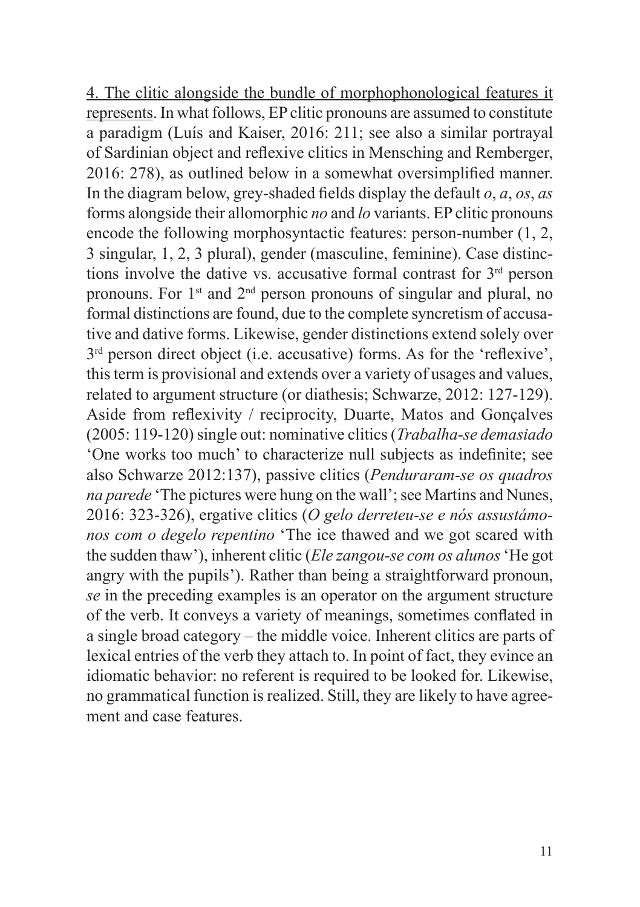4. The clitic alongside the bundle of morphophonological features it represents. In what follows, EP clitic pronouns are assumed to constitute a paradigm (Luís and Kaiser, 2016: 211; see also a similar portrayal of Sardinian object and reflexive clitics in Mensching and Remberger, 2016: 278), as outlined below in a somewhat oversimplified manner. In the diagram below, grey-shaded fields display the default *o*, *a*, *os*, *as* forms alongside their allomorphic *no* and *lo* variants. EP clitic pronouns encode the following morphosyntactic features: person-number (1, 2, 3 singular, 1, 2, 3 plural), gender (masculine, feminine). Case distinctions involve the dative vs. accusative formal contrast for  $3<sup>rd</sup>$  person pronouns. For  $1<sup>st</sup>$  and  $2<sup>nd</sup>$  person pronouns of singular and plural, no formal distinctions are found, due to the complete syncretism of accusative and dative forms. Likewise, gender distinctions extend solely over 3<sup>rd</sup> person direct object (i.e. accusative) forms. As for the 'reflexive', this term is provisional and extends over a variety of usages and values, related to argument structure (or diathesis; Schwarze, 2012: 127-129). Aside from reflexivity / reciprocity, Duarte, Matos and Gonçalves (2005: 119-120) single out: nominative clitics (*Trabalha-se demasiado* 'One works too much' to characterize null subjects as indefinite; see also Schwarze 2012:137), passive clitics (*Penduraram-se os quadros na parede* 'The pictures were hung on the wall'; see Martins and Nunes, 2016: 323-326), ergative clitics (*O gelo derreteu-se e nós assustámonos com o degelo repentino* 'The ice thawed and we got scared with the sudden thaw'), inherent clitic (*Ele zangou-se com os alunos* 'He got angry with the pupils'). Rather than being a straightforward pronoun, *se* in the preceding examples is an operator on the argument structure of the verb. It conveys a variety of meanings, sometimes conflated in a single broad category – the middle voice. Inherent clitics are parts of lexical entries of the verb they attach to. In point of fact, they evince an idiomatic behavior: no referent is required to be looked for. Likewise, no grammatical function is realized. Still, they are likely to have agreement and case features.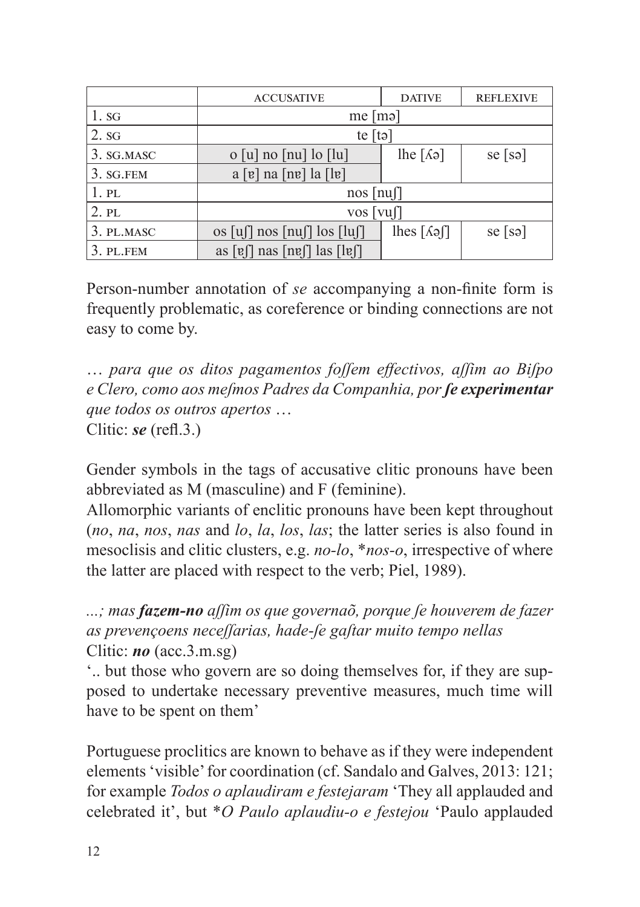|            | <b>ACCUSATIVE</b>                                                                                        | <b>DATIVE</b>                   | <b>REFLEXIVE</b> |  |
|------------|----------------------------------------------------------------------------------------------------------|---------------------------------|------------------|--|
| $1$ . SG   | me $[m9]$                                                                                                |                                 |                  |  |
| 2.SG       | te $[t\circ]$                                                                                            |                                 |                  |  |
| 3. SG.MASC | $o [u]$ no $[nu]$ lo $[lu]$                                                                              | lhe $\lceil \Lambda$ ə $\rceil$ | $se$ [sə]        |  |
| 3. SG.FEM  | $a [v]$ na $[nv]$ la $[1v]$                                                                              |                                 |                  |  |
| 1.PL       | $nos$ [nu]]                                                                                              |                                 |                  |  |
| $2.$ PL    | $\overline{\text{vos}}$ [vu[]                                                                            |                                 |                  |  |
| 3. PL.MASC | os $\lceil \mu \rceil$ nos $\lceil \mu \rceil$ los $\lceil \mu \rceil$                                   | lhes $\lceil \Lambda$ as        | $se$ [sə]        |  |
| 3. PL.FEM  | as $\lceil \frac{e}{\ln n} \rceil$ as $\lceil \frac{e}{\ln n} \rceil$ as $\lceil \frac{e}{\ln n} \rceil$ |                                 |                  |  |

Person-number annotation of *se* accompanying a non-finite form is frequently problematic, as coreference or binding connections are not easy to come by.

… *para que os ditos pagamentos foſſem effectivos, aſſim ao Biſpo e Clero, como aos meſmos Padres da Companhia, porſe experimentar que todos os outros apertos* … Clitic: *se* (refl.3.)

Gender symbols in the tags of accusative clitic pronouns have been abbreviated as M (masculine) and F (feminine).

Allomorphic variants of enclitic pronouns have been kept throughout (*no*, *na*, *nos*, *nas* and *lo*, *la*, *los*, *las*; the latter series is also found in mesoclisis and clitic clusters, e.g. *no-lo*, \**nos-o*, irrespective of where the latter are placed with respect to the verb; Piel, 1989).

*...; mas fazem-no aſſim os que governaõ, porque ſe houverem de fazer as prevençoens neceſſarias, hade-ſe gaſtar muito tempo nellas* Clitic: *no* (acc.3.m.sg)

'.. but those who govern are so doing themselves for, if they are supposed to undertake necessary preventive measures, much time will have to be spent on them'

Portuguese proclitics are known to behave as if they were independent elements 'visible' for coordination (cf. Sandalo and Galves, 2013: 121; for example *Todos o aplaudiram e festejaram* 'They all applauded and celebrated it', but \**O Paulo aplaudiu-o e festejou* 'Paulo applauded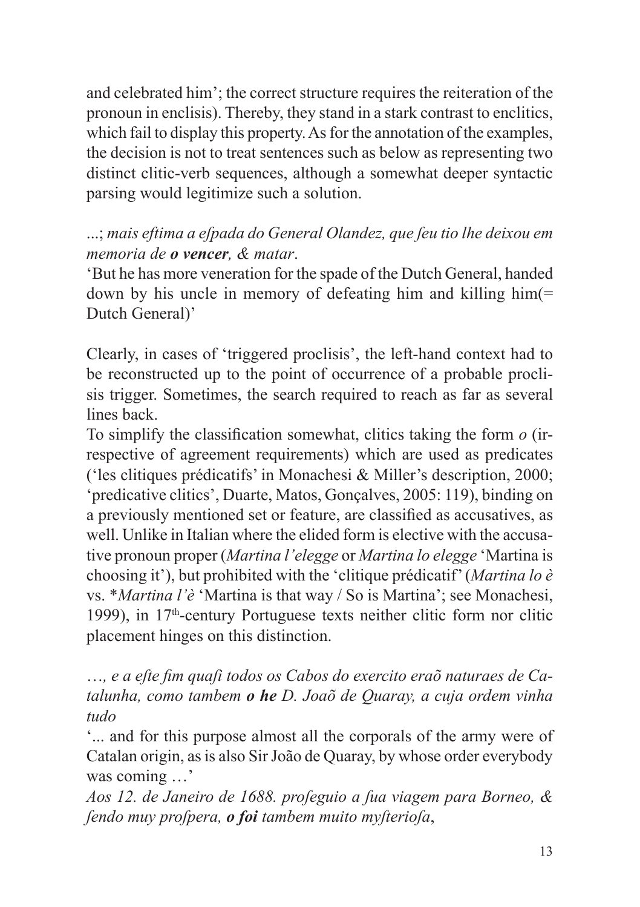and celebrated him'; the correct structure requires the reiteration of the pronoun in enclisis). Thereby, they stand in a stark contrast to enclitics, which fail to display this property. As for the annotation of the examples, the decision is not to treat sentences such as below as representing two distinct clitic-verb sequences, although a somewhat deeper syntactic parsing would legitimize such a solution.

#### ...; *mais eftima a eſpada do General Olandez, que ſeu tio lhe deixou em memoria de o vencer, & matar*.

'But he has more veneration for the spade of the Dutch General, handed down by his uncle in memory of defeating him and killing him(= Dutch General)'

Clearly, in cases of 'triggered proclisis', the left-hand context had to be reconstructed up to the point of occurrence of a probable proclisis trigger. Sometimes, the search required to reach as far as several lines back.

To simplify the classification somewhat, clitics taking the form *o* (irrespective of agreement requirements) which are used as predicates ('les clitiques prédicatifs' in Monachesi & Miller's description, 2000; 'predicative clitics', Duarte, Matos, Gonçalves, 2005: 119), binding on a previously mentioned set or feature, are classified as accusatives, as well. Unlike in Italian where the elided form is elective with the accusative pronoun proper (*Martina l'elegge* or *Martina lo elegge* 'Martina is choosing it'), but prohibited with the 'clitique prédicatif' (*Martina lo è* vs. \**Martina l'è* 'Martina is that way / So is Martina'; see Monachesi, 1999), in  $17<sup>th</sup>$ -century Portuguese texts neither clitic form nor clitic placement hinges on this distinction.

…*, e a eſte fim quaſi todos os Cabos do exercito eraõ naturaes de Catalunha, como tambem o he D. Joaõ de Quaray, a cuja ordem vinha tudo*

'... and for this purpose almost all the corporals of the army were of Catalan origin, as is also Sir João de Quaray, by whose order everybody was coming …'

*Aos 12. de Janeiro de 1688. proſeguio a ſua viagem para Borneo, & ſendo muy proſpera, o foi tambem muito myſterioſa*,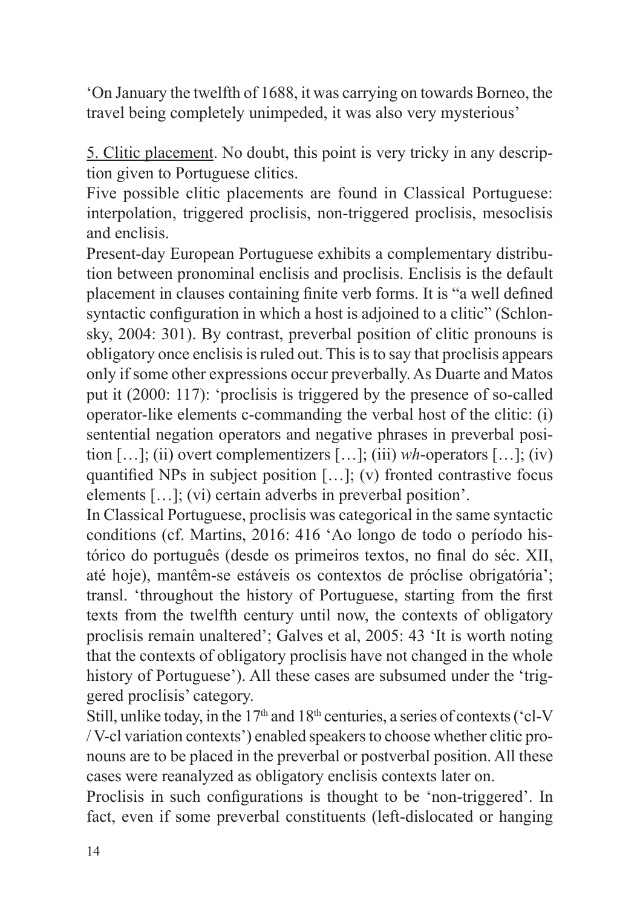'On January the twelfth of 1688, it was carrying on towards Borneo, the travel being completely unimpeded, it was also very mysterious'

5. Clitic placement. No doubt, this point is very tricky in any description given to Portuguese clitics.

Five possible clitic placements are found in Classical Portuguese: interpolation, triggered proclisis, non-triggered proclisis, mesoclisis and enclisis.

Present-day European Portuguese exhibits a complementary distribution between pronominal enclisis and proclisis. Enclisis is the default placement in clauses containing finite verb forms. It is "a well defined syntactic configuration in which a host is adjoined to a clitic" (Schlonsky, 2004: 301). By contrast, preverbal position of clitic pronouns is obligatory once enclisis is ruled out. This is to say that proclisis appears only if some other expressions occur preverbally. As Duarte and Matos put it (2000: 117): 'proclisis is triggered by the presence of so-called operator-like elements c-commanding the verbal host of the clitic: (i) sentential negation operators and negative phrases in preverbal position […]; (ii) overt complementizers […]; (iii) *wh*-operators […]; (iv) quantified NPs in subject position […]; (v) fronted contrastive focus elements […]; (vi) certain adverbs in preverbal position'.

In Classical Portuguese, proclisis was categorical in the same syntactic conditions (cf. Martins, 2016: 416 'Ao longo de todo o período histórico do português (desde os primeiros textos, no final do séc. XII, até hoje), mantêm-se estáveis os contextos de próclise obrigatória'; transl. 'throughout the history of Portuguese, starting from the first texts from the twelfth century until now, the contexts of obligatory proclisis remain unaltered'; Galves et al, 2005: 43 'It is worth noting that the contexts of obligatory proclisis have not changed in the whole history of Portuguese'). All these cases are subsumed under the 'triggered proclisis' category.

Still, unlike today, in the  $17<sup>th</sup>$  and  $18<sup>th</sup>$  centuries, a series of contexts ('cl-V / V-cl variation contexts') enabled speakers to choose whether clitic pronouns are to be placed in the preverbal or postverbal position. All these cases were reanalyzed as obligatory enclisis contexts later on.

Proclisis in such configurations is thought to be 'non-triggered'. In fact, even if some preverbal constituents (left-dislocated or hanging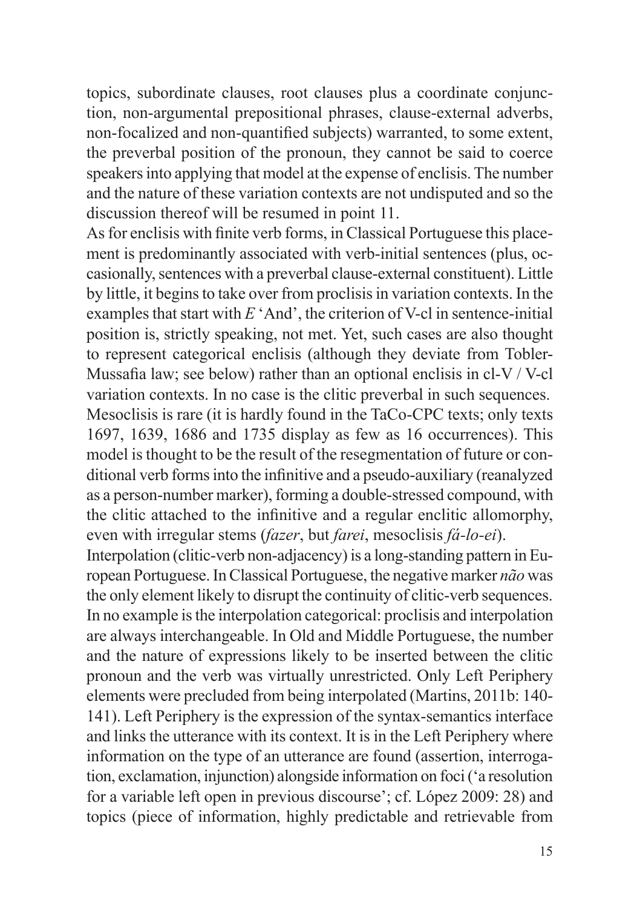topics, subordinate clauses, root clauses plus a coordinate conjunction, non-argumental prepositional phrases, clause-external adverbs, non-focalized and non-quantified subjects) warranted, to some extent, the preverbal position of the pronoun, they cannot be said to coerce speakers into applying that model at the expense of enclisis. The number and the nature of these variation contexts are not undisputed and so the discussion thereof will be resumed in point 11.

As for enclisis with finite verb forms, in Classical Portuguese this placement is predominantly associated with verb-initial sentences (plus, occasionally, sentences with a preverbal clause-external constituent). Little by little, it begins to take over from proclisis in variation contexts. In the examples that start with *E* 'And', the criterion of V-cl in sentence-initial position is, strictly speaking, not met. Yet, such cases are also thought to represent categorical enclisis (although they deviate from Tobler-Mussafia law; see below) rather than an optional enclisis in cl-V / V-cl variation contexts. In no case is the clitic preverbal in such sequences. Mesoclisis is rare (it is hardly found in the TaCo-CPC texts; only texts 1697, 1639, 1686 and 1735 display as few as 16 occurrences). This model is thought to be the result of the resegmentation of future or conditional verb forms into the infinitive and a pseudo-auxiliary (reanalyzed as a person-number marker), forming a double-stressed compound, with the clitic attached to the infinitive and a regular enclitic allomorphy, even with irregular stems (*fazer*, but *farei*, mesoclisis *fá-lo-ei*).

Interpolation (clitic-verb non-adjacency) is a long-standing pattern in European Portuguese. In Classical Portuguese, the negative marker *não* was the only element likely to disrupt the continuity of clitic-verb sequences. In no example is the interpolation categorical: proclisis and interpolation are always interchangeable. In Old and Middle Portuguese, the number and the nature of expressions likely to be inserted between the clitic pronoun and the verb was virtually unrestricted. Only Left Periphery elements were precluded from being interpolated (Martins, 2011b: 140- 141). Left Periphery is the expression of the syntax-semantics interface and links the utterance with its context. It is in the Left Periphery where information on the type of an utterance are found (assertion, interrogation, exclamation, injunction) alongside information on foci ('a resolution for a variable left open in previous discourse'; cf. López 2009: 28) and topics (piece of information, highly predictable and retrievable from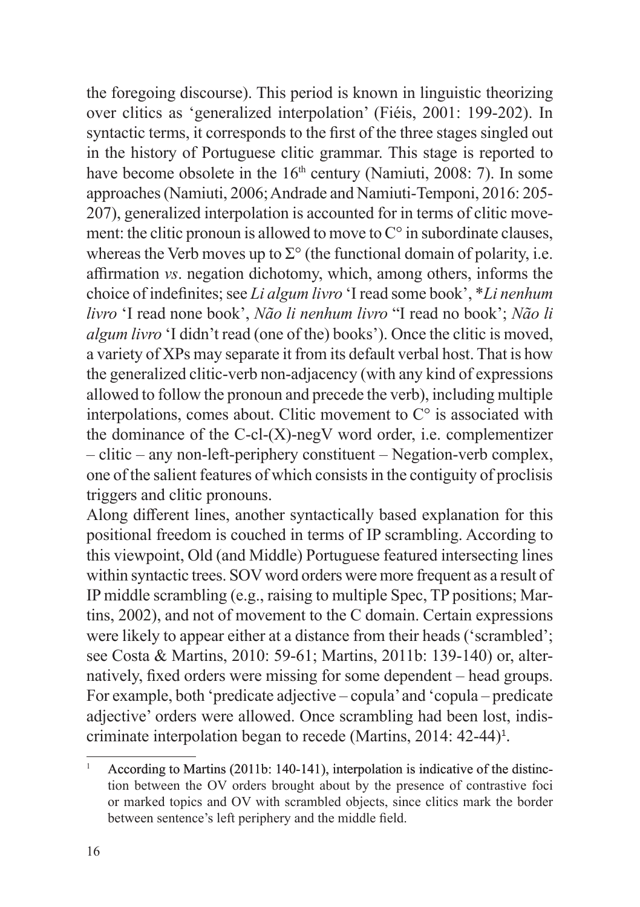the foregoing discourse). This period is known in linguistic theorizing over clitics as 'generalized interpolation' (Fiéis, 2001: 199-202). In syntactic terms, it corresponds to the first of the three stages singled out in the history of Portuguese clitic grammar. This stage is reported to have become obsolete in the  $16<sup>th</sup>$  century (Namiuti, 2008: 7). In some approaches (Namiuti, 2006; Andrade and Namiuti-Temponi, 2016: 205- 207), generalized interpolation is accounted for in terms of clitic movement: the clitic pronoun is allowed to move to  $C^{\circ}$  in subordinate clauses, whereas the Verb moves up to  $\Sigma^{\circ}$  (the functional domain of polarity, i.e. affirmation *vs*. negation dichotomy, which, among others, informs the choice of indefinites; see *Li algum livro* 'I read some book', \**Li nenhum livro* 'I read none book', *Não li nenhum livro* "I read no book'; *Não li algum livro* 'I didn't read (one of the) books'). Once the clitic is moved, a variety of XPs may separate it from its default verbal host. That is how the generalized clitic-verb non-adjacency (with any kind of expressions allowed to follow the pronoun and precede the verb), including multiple interpolations, comes about. Clitic movement to  $C^{\circ}$  is associated with the dominance of the C-cl- $(X)$ -negV word order, i.e. complementizer – clitic – any non-left-periphery constituent – Negation-verb complex, one of the salient features of which consists in the contiguity of proclisis triggers and clitic pronouns.

Along different lines, another syntactically based explanation for this positional freedom is couched in terms of IP scrambling. According to this viewpoint, Old (and Middle) Portuguese featured intersecting lines within syntactic trees. SOV word orders were more frequent as a result of IP middle scrambling (e.g., raising to multiple Spec, TP positions; Martins, 2002), and not of movement to the C domain. Certain expressions were likely to appear either at a distance from their heads ('scrambled'; see Costa & Martins, 2010: 59-61; Martins, 2011b: 139-140) or, alternatively, fixed orders were missing for some dependent – head groups. For example, both 'predicate adjective – copula' and 'copula – predicate adjective' orders were allowed. Once scrambling had been lost, indiscriminate interpolation began to recede (Martins, 2014: 42-44) 1 .

<sup>&</sup>lt;sup>1</sup> According to Martins (2011b: 140-141), interpolation is indicative of the distinction between the OV orders brought about by the presence of contrastive foci or marked topics and OV with scrambled objects, since clitics mark the border between sentence's left periphery and the middle field.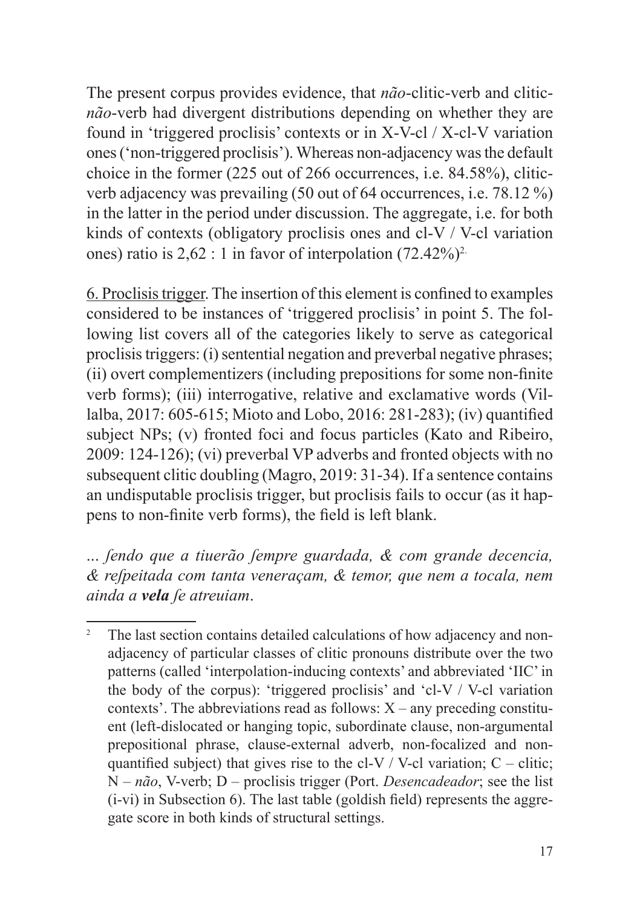The present corpus provides evidence, that *não*-clitic-verb and clitic*não*-verb had divergent distributions depending on whether they are found in 'triggered proclisis' contexts or in X-V-cl / X-cl-V variation ones ('non-triggered proclisis'). Whereas non-adjacency was the default choice in the former (225 out of 266 occurrences, i.e. 84.58%), cliticverb adjacency was prevailing (50 out of 64 occurrences, i.e. 78.12 %) in the latter in the period under discussion. The aggregate, i.e. for both kinds of contexts (obligatory proclisis ones and cl-V / V-cl variation ones) ratio is  $2,62:1$  in favor of interpolation  $(72.42\%)^2$ .

6. Proclisis trigger. The insertion of this element is confined to examples considered to be instances of 'triggered proclisis' in point 5. The following list covers all of the categories likely to serve as categorical proclisis triggers: (i) sentential negation and preverbal negative phrases; (ii) overt complementizers (including prepositions for some non-finite verb forms); (iii) interrogative, relative and exclamative words (Villalba, 2017: 605-615; Mioto and Lobo, 2016: 281-283); (iv) quantified subject NPs; (v) fronted foci and focus particles (Kato and Ribeiro, 2009: 124-126); (vi) preverbal VP adverbs and fronted objects with no subsequent clitic doubling (Magro, 2019: 31-34). If a sentence contains an undisputable proclisis trigger, but proclisis fails to occur (as it happens to non-finite verb forms), the field is left blank.

... *ſendo que a tiuerão ſempre guardada, & com grande decencia, & reſpeitada com tanta veneraçam, & temor, que nem a tocala, nem ainda a vela ſe atreuiam*.

<sup>&</sup>lt;sup>2</sup> The last section contains detailed calculations of how adjacency and nonadjacency of particular classes of clitic pronouns distribute over the two patterns (called 'interpolation-inducing contexts' and abbreviated 'IIC' in the body of the corpus): 'triggered proclisis' and 'cl-V / V-cl variation contexts'. The abbreviations read as follows:  $X$  – any preceding constituent (left-dislocated or hanging topic, subordinate clause, non-argumental prepositional phrase, clause-external adverb, non-focalized and nonquantified subject) that gives rise to the cl-V / V-cl variation;  $C - \text{clitic}$ ; N – *não*, V-verb; D – proclisis trigger (Port. *Desencadeador*; see the list (i-vi) in Subsection 6). The last table (goldish field) represents the aggregate score in both kinds of structural settings.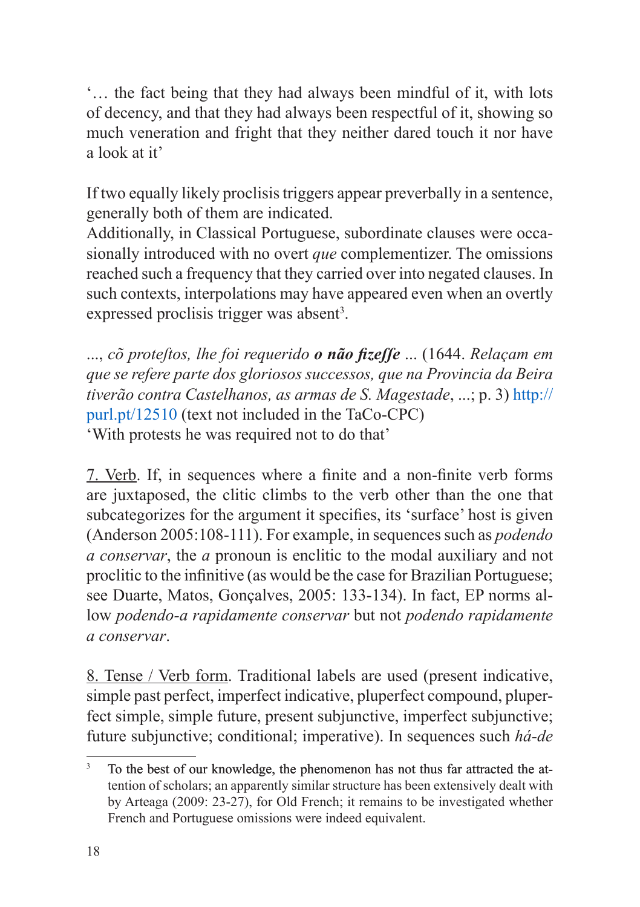'… the fact being that they had always been mindful of it, with lots of decency, and that they had always been respectful of it, showing so much veneration and fright that they neither dared touch it nor have a look at it'

If two equally likely proclisis triggers appear preverbally in a sentence, generally both of them are indicated.

Additionally, in Classical Portuguese, subordinate clauses were occasionally introduced with no overt *que* complementizer. The omissions reached such a frequency that they carried over into negated clauses. In such contexts, interpolations may have appeared even when an overtly expressed proclisis trigger was absent<sup>3</sup>.

..., *cõ proteſtos, lhe foi requerido o não fizeſſe* ... (1644. *Relaçam em que se refere parte dos gloriosos successos, que na Provincia da Beira tiverão contra Castelhanos, as armas de S. Magestade*, ...; p. 3) http:// purl.pt/12510 (text not included in the TaCo-CPC) 'With protests he was required not to do that'

7. Verb. If, in sequences where a finite and a non-finite verb forms are juxtaposed, the clitic climbs to the verb other than the one that subcategorizes for the argument it specifies, its 'surface' host is given (Anderson 2005:108-111). For example, in sequences such as *podendo a conservar*, the *a* pronoun is enclitic to the modal auxiliary and not proclitic to the infinitive (as would be the case for Brazilian Portuguese; see Duarte, Matos, Gonçalves, 2005: 133-134). In fact, EP norms allow *podendo-a rapidamente conservar* but not *podendo rapidamente a conservar*.

8. Tense / Verb form. Traditional labels are used (present indicative, simple past perfect, imperfect indicative, pluperfect compound, pluperfect simple, simple future, present subjunctive, imperfect subjunctive; future subjunctive; conditional; imperative). In sequences such *há-de*

<sup>&</sup>lt;sup>3</sup> To the best of our knowledge, the phenomenon has not thus far attracted the attention of scholars; an apparently similar structure has been extensively dealt with by Arteaga (2009: 23-27), for Old French; it remains to be investigated whether French and Portuguese omissions were indeed equivalent.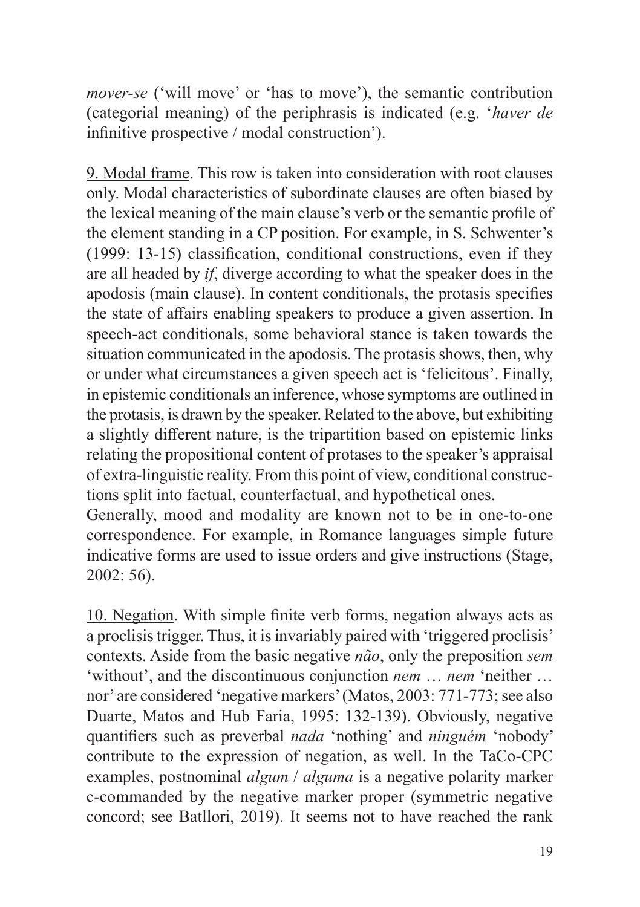*mover-se* ('will move' or 'has to move'), the semantic contribution (categorial meaning) of the periphrasis is indicated (e.g. '*haver de* infinitive prospective / modal construction').

9. Modal frame. This row is taken into consideration with root clauses only. Modal characteristics of subordinate clauses are often biased by the lexical meaning of the main clause's verb or the semantic profile of the element standing in a CP position. For example, in S. Schwenter's (1999: 13-15) classification, conditional constructions, even if they are all headed by *if*, diverge according to what the speaker does in the apodosis (main clause). In content conditionals, the protasis specifies the state of affairs enabling speakers to produce a given assertion. In speech-act conditionals, some behavioral stance is taken towards the situation communicated in the apodosis. The protasis shows, then, why or under what circumstances a given speech act is 'felicitous'. Finally, in epistemic conditionals an inference, whose symptoms are outlined in the protasis, is drawn by the speaker. Related to the above, but exhibiting a slightly different nature, is the tripartition based on epistemic links relating the propositional content of protases to the speaker's appraisal of extra-linguistic reality. From this point of view, conditional constructions split into factual, counterfactual, and hypothetical ones. Generally, mood and modality are known not to be in one-to-one

correspondence. For example, in Romance languages simple future indicative forms are used to issue orders and give instructions (Stage, 2002: 56).

10. Negation. With simple finite verb forms, negation always acts as a proclisis trigger. Thus, it is invariably paired with 'triggered proclisis' contexts. Aside from the basic negative *não*, only the preposition *sem* 'without', and the discontinuous conjunction *nem* … *nem* 'neither … nor' are considered 'negative markers' (Matos, 2003: 771-773; see also Duarte, Matos and Hub Faria, 1995: 132-139). Obviously, negative quantifiers such as preverbal *nada* 'nothing' and *ninguém* 'nobody' contribute to the expression of negation, as well. In the TaCo-CPC examples, postnominal *algum* / *alguma* is a negative polarity marker c-commanded by the negative marker proper (symmetric negative concord; see Batllori, 2019). It seems not to have reached the rank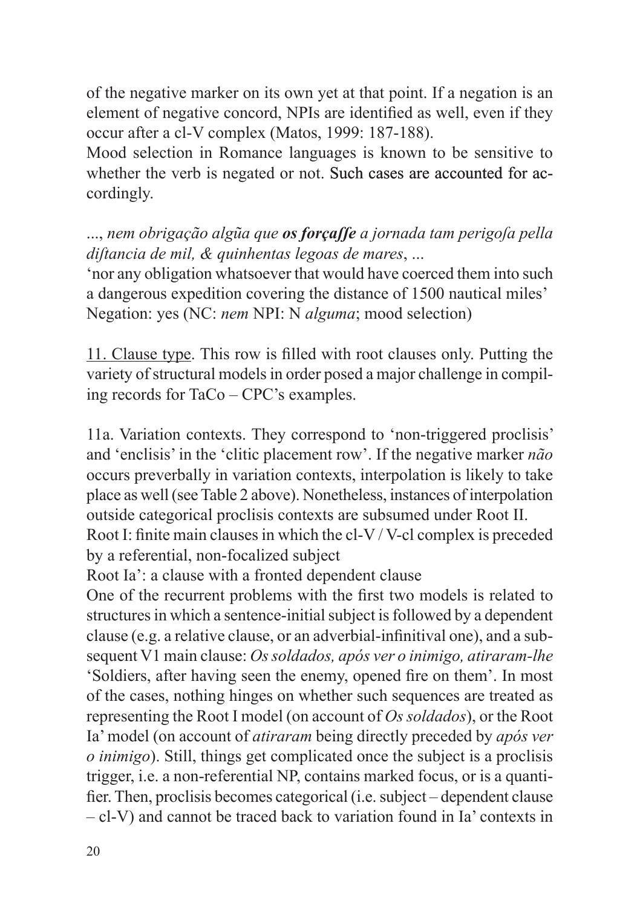of the negative marker on its own yet at that point. If a negation is an element of negative concord, NPIs are identified as well, even if they occur after a cl-V complex (Matos, 1999: 187-188).

Mood selection in Romance languages is known to be sensitive to whether the verb is negated or not. Such cases are accounted for accordingly.

..., *nem obrigação algũa que os forçaſſe a jornada tam perigoſa pella diſtancia de mil, & quinhentas legoas de mares*, ...

'nor any obligation whatsoever that would have coerced them into such a dangerous expedition covering the distance of 1500 nautical miles' Negation: yes (NC: *nem* NPI: N *alguma*; mood selection)

11. Clause type. This row is filled with root clauses only. Putting the variety of structural models in order posed a major challenge in compiling records for TaCo – CPC's examples.

11a. Variation contexts. They correspond to 'non-triggered proclisis' and 'enclisis' in the 'clitic placement row'. If the negative marker *não* occurs preverbally in variation contexts, interpolation is likely to take place as well (see Table 2 above). Nonetheless, instances of interpolation outside categorical proclisis contexts are subsumed under Root II.

Root I: finite main clauses in which the cl-V / V-cl complex is preceded by a referential, non-focalized subject

Root Ia': a clause with a fronted dependent clause

One of the recurrent problems with the first two models is related to structures in which a sentence-initial subject is followed by a dependent clause (e.g. a relative clause, or an adverbial-infinitival one), and a subsequent V1 main clause: *Ossoldados, após ver o inimigo, atiraram-lhe* 'Soldiers, after having seen the enemy, opened fire on them'. In most of the cases, nothing hinges on whether such sequences are treated as representing the Root I model (on account of *Os soldados*), or the Root Ia' model (on account of *atiraram* being directly preceded by *após ver o inimigo*). Still, things get complicated once the subject is a proclisis trigger, i.e. a non-referential NP, contains marked focus, or is a quantifier. Then, proclisis becomes categorical (i.e. subject – dependent clause – cl-V) and cannot be traced back to variation found in Ia' contexts in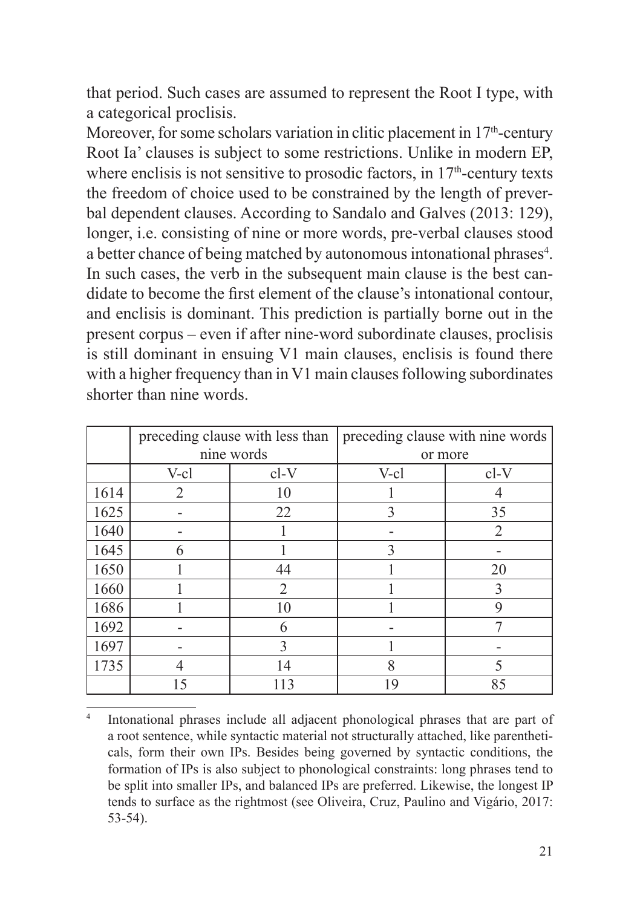that period. Such cases are assumed to represent the Root I type, with a categorical proclisis.

Moreover, for some scholars variation in clitic placement in  $17<sup>th</sup>$ -century Root Ia' clauses is subject to some restrictions. Unlike in modern EP, where enclisis is not sensitive to prosodic factors, in 17<sup>th</sup>-century texts the freedom of choice used to be constrained by the length of preverbal dependent clauses. According to Sandalo and Galves (2013: 129), longer, i.e. consisting of nine or more words, pre-verbal clauses stood a better chance of being matched by autonomous intonational phrases<sup>4</sup>. In such cases, the verb in the subsequent main clause is the best candidate to become the first element of the clause's intonational contour, and enclisis is dominant. This prediction is partially borne out in the present corpus – even if after nine-word subordinate clauses, proclisis is still dominant in ensuing V1 main clauses, enclisis is found there with a higher frequency than in V1 main clauses following subordinates shorter than nine words.

|      | preceding clause with less than |                | preceding clause with nine words |                |
|------|---------------------------------|----------------|----------------------------------|----------------|
|      | nine words                      |                | or more                          |                |
|      | $V-cl$                          | $cl-V$         | $V-c1$                           | $cl-V$         |
| 1614 | 2                               | 10             |                                  |                |
| 1625 |                                 | 22             | 3                                | 35             |
| 1640 |                                 |                |                                  | $\overline{2}$ |
| 1645 | 6                               |                | $\mathcal{E}$                    |                |
| 1650 |                                 | 44             |                                  | 20             |
| 1660 |                                 | $\overline{2}$ |                                  | 3              |
| 1686 |                                 | 10             |                                  | 9              |
| 1692 |                                 | 6              |                                  |                |
| 1697 |                                 | 3              |                                  |                |
| 1735 |                                 | 14             | 8                                | 5              |
|      | 15                              | 113            | 19                               | 85             |

Intonational phrases include all adjacent phonological phrases that are part of a root sentence, while syntactic material not structurally attached, like parentheticals, form their own IPs. Besides being governed by syntactic conditions, the formation of IPs is also subject to phonological constraints: long phrases tend to be split into smaller IPs, and balanced IPs are preferred. Likewise, the longest IP tends to surface as the rightmost (see Oliveira, Cruz, Paulino and Vigário, 2017: 53-54).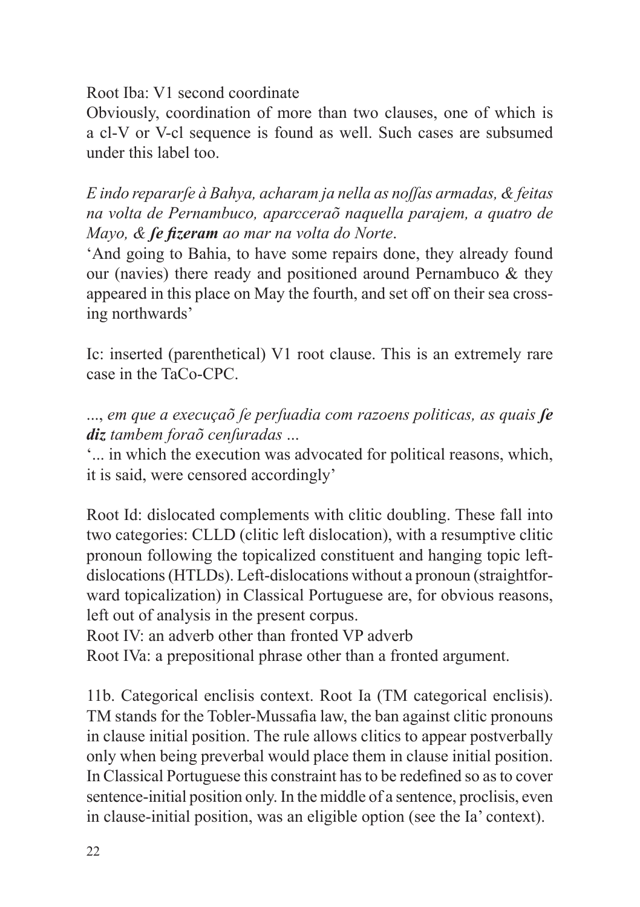Root Iba: V1 second coordinate

Obviously, coordination of more than two clauses, one of which is a cl-V or V-cl sequence is found as well. Such cases are subsumed under this label too.

*E indo repararſe à Bahya, acharam ja nella as noſſas armadas, & feitas na volta de Pernambuco, aparcceraõ naquella parajem, a quatro de Mayo, & ſe fizeram ao mar na volta do Norte*.

'And going to Bahia, to have some repairs done, they already found our (navies) there ready and positioned around Pernambuco & they appeared in this place on May the fourth, and set off on their sea crossing northwards'

Ic: inserted (parenthetical) V1 root clause. This is an extremely rare case in the TaCo-CPC.

..., *em que a execuçaõ ſe perſuadia com razoens politicas, as quais ſe diz tambem foraõ cenſuradas* ...

'... in which the execution was advocated for political reasons, which, it is said, were censored accordingly'

Root Id: dislocated complements with clitic doubling. These fall into two categories: CLLD (clitic left dislocation), with a resumptive clitic pronoun following the topicalized constituent and hanging topic leftdislocations (HTLDs). Left-dislocations without a pronoun (straightforward topicalization) in Classical Portuguese are, for obvious reasons, left out of analysis in the present corpus.

Root IV: an adverb other than fronted VP adverb

Root IVa: a prepositional phrase other than a fronted argument.

11b. Categorical enclisis context. Root Ia (TM categorical enclisis). TM stands for the Tobler-Mussafia law, the ban against clitic pronouns in clause initial position. The rule allows clitics to appear postverbally only when being preverbal would place them in clause initial position. In Classical Portuguese this constraint has to be redefined so as to cover sentence-initial position only. In the middle of a sentence, proclisis, even in clause-initial position, was an eligible option (see the Ia' context).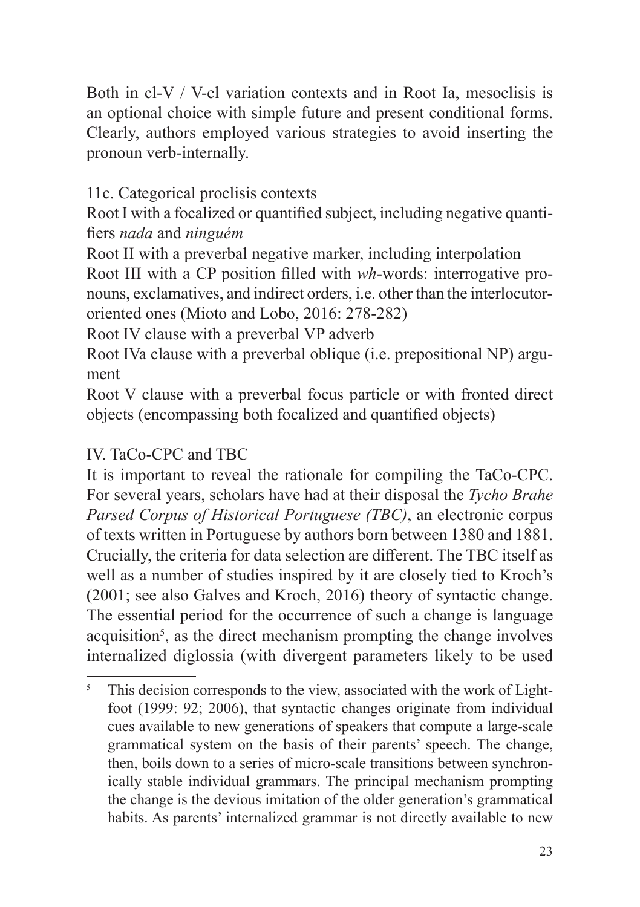Both in cl-V / V-cl variation contexts and in Root Ia, mesoclisis is an optional choice with simple future and present conditional forms. Clearly, authors employed various strategies to avoid inserting the pronoun verb-internally.

11c. Categorical proclisis contexts

Root I with a focalized or quantified subject, including negative quantifiers *nada* and *ninguém*

Root II with a preverbal negative marker, including interpolation Root III with a CP position filled with *wh*-words: interrogative pronouns, exclamatives, and indirect orders, i.e. other than the interlocutororiented ones (Mioto and Lobo, 2016: 278-282)

Root IV clause with a preverbal VP adverb

Root IVa clause with a preverbal oblique (i.e. prepositional NP) argument

Root V clause with a preverbal focus particle or with fronted direct objects (encompassing both focalized and quantified objects)

#### IV. TaCo-CPC and TBC

It is important to reveal the rationale for compiling the TaCo-CPC. For several years, scholars have had at their disposal the *Tycho Brahe Parsed Corpus of Historical Portuguese (TBC)*, an electronic corpus of texts written in Portuguese by authors born between 1380 and 1881. Crucially, the criteria for data selection are different. The TBC itself as well as a number of studies inspired by it are closely tied to Kroch's (2001; see also Galves and Kroch, 2016) theory of syntactic change. The essential period for the occurrence of such a change is language acquisition<sup>5</sup>, as the direct mechanism prompting the change involves internalized diglossia (with divergent parameters likely to be used

<sup>&</sup>lt;sup>5</sup> This decision corresponds to the view, associated with the work of Lightfoot (1999: 92; 2006), that syntactic changes originate from individual cues available to new generations of speakers that compute a large-scale grammatical system on the basis of their parents' speech. The change, then, boils down to a series of micro-scale transitions between synchronically stable individual grammars. The principal mechanism prompting the change is the devious imitation of the older generation's grammatical habits. As parents' internalized grammar is not directly available to new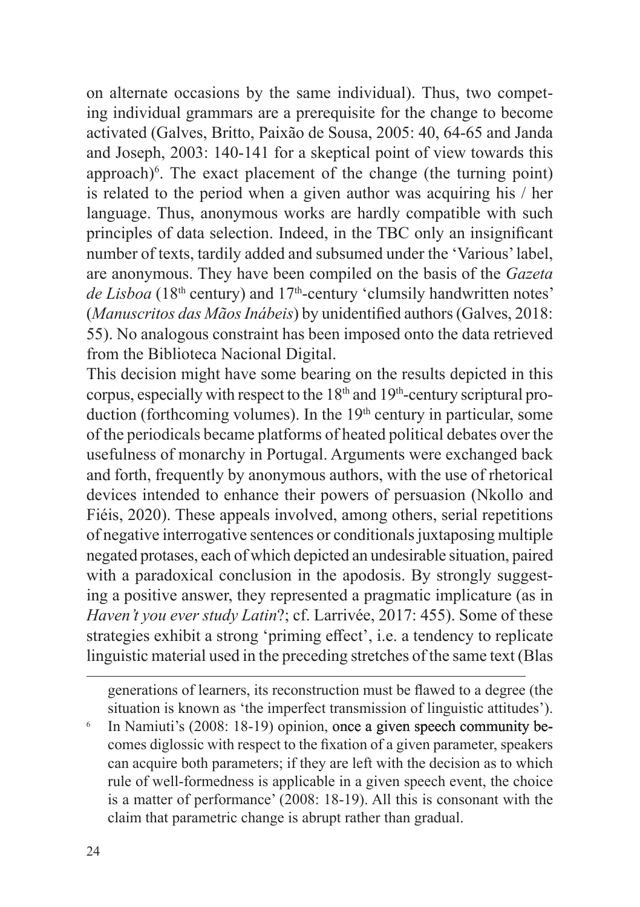on alternate occasions by the same individual). Thus, two competing individual grammars are a prerequisite for the change to become activated (Galves, Britto, Paixão de Sousa, 2005: 40, 64-65 and Janda and Joseph, 2003: 140-141 for a skeptical point of view towards this approach)<sup>6</sup>. The exact placement of the change (the turning point) is related to the period when a given author was acquiring his / her language. Thus, anonymous works are hardly compatible with such principles of data selection. Indeed, in the TBC only an insignificant number of texts, tardily added and subsumed under the 'Various' label, are anonymous. They have been compiled on the basis of the *Gazeta de Lisboa* (18<sup>th</sup> century) and 17<sup>th</sup>-century 'clumsily handwritten notes' (*Manuscritos das MãosInábeis*) by unidentified authors (Galves, 2018: 55). No analogous constraint has been imposed onto the data retrieved from the Biblioteca Nacional Digital.

This decision might have some bearing on the results depicted in this corpus, especially with respect to the  $18<sup>th</sup>$  and  $19<sup>th</sup>$ -century scriptural production (forthcoming volumes). In the  $19<sup>th</sup>$  century in particular, some of the periodicals became platforms of heated political debates over the usefulness of monarchy in Portugal. Arguments were exchanged back and forth, frequently by anonymous authors, with the use of rhetorical devices intended to enhance their powers of persuasion (Nkollo and Fiéis, 2020). These appeals involved, among others, serial repetitions of negative interrogative sentences or conditionals juxtaposing multiple negated protases, each of which depicted an undesirable situation, paired with a paradoxical conclusion in the apodosis. By strongly suggesting a positive answer, they represented a pragmatic implicature (as in *Haven't you ever study Latin*?; cf. Larrivée, 2017: 455). Some of these strategies exhibit a strong 'priming effect', i.e. a tendency to replicate linguistic material used in the preceding stretches of the same text (Blas

generations of learners, its reconstruction must be flawed to a degree (the situation is known as 'the imperfect transmission of linguistic attitudes').

 $6$  In Namiuti's (2008: 18-19) opinion, once a given speech community becomes diglossic with respect to the fixation of a given parameter, speakers can acquire both parameters; if they are left with the decision as to which rule of well-formedness is applicable in a given speech event, the choice is a matter of performance' (2008: 18-19). All this is consonant with the claim that parametric change is abrupt rather than gradual.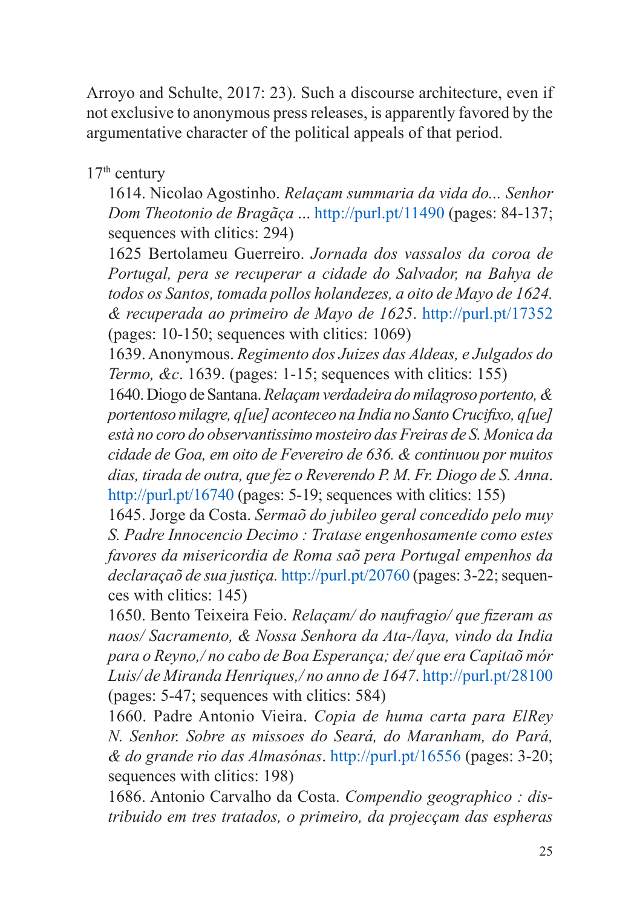Arroyo and Schulte, 2017: 23). Such a discourse architecture, even if not exclusive to anonymous press releases, is apparently favored by the argumentative character of the political appeals of that period.

17th century

1614. Nicolao Agostinho. *Relaçam summaria da vida do... Senhor Dom Theotonio de Bragãça* ...<http://purl.pt/11490>(pages: 84-137; sequences with clitics: 294)

1625 Bertolameu Guerreiro. *Jornada dos vassalos da coroa de Portugal, pera se recuperar a cidade do Salvador, na Bahya de todos os Santos, tomada pollos holandezes, a oito de Mayo de 1624. & recuperada ao primeiro de Mayo de 1625*. <http://purl.pt/17352> (pages: 10-150; sequences with clitics: 1069)

1639. Anonymous. *Regimento dos Juizes das Aldeas, e Julgados do Termo, &c*. 1639. (pages: 1-15; sequences with clitics: 155)

1640. Diogo de Santana. *Relaçamverdadeira domilagroso portento,& portentosomilagre, q[ue] aconteceo na India no SantoCrucifixo, q[ue] està no coro do observantissimo mosteiro das Freiras de S. Monica da cidade de Goa, em oito de Fevereiro de 636. & continuou por muitos dias, tirada de outra, que fez o Reverendo P. M. Fr. Diogo de S. Anna*. <http://purl.pt/16740> (pages: 5-19; sequences with clitics: 155)

1645. Jorge da Costa. *Sermaõ do jubileo geral concedido pelo muy S. Padre Innocencio Decimo : Tratase engenhosamente como estes favores da misericordia de Roma saõ pera Portugal empenhos da declaraçaõ de sua justiça.* <http://purl.pt/20760>(pages: 3-22; sequences with clitics: 145)

1650. Bento Teixeira Feio. *Relaçam/ do naufragio/ que fizeram as naos/ Sacramento, & Nossa Senhora da Ata-/laya, vindo da India para o Reyno,/ no cabo de Boa Esperança; de/ que era Capitaõ mór Luis/ de Miranda Henriques,/ no anno de 1647*.<http://purl.pt/28100> (pages: 5-47; sequences with clitics: 584)

1660. Padre Antonio Vieira. *Copia de huma carta para ElRey N. Senhor. Sobre as missoes do Seará, do Maranham, do Pará, & do grande rio das Almasónas*. <http://purl.pt/16556>(pages: 3-20; sequences with clitics: 198)

1686. Antonio Carvalho da Costa. *Compendio geographico : distribuido em tres tratados, o primeiro, da projecçam das espheras*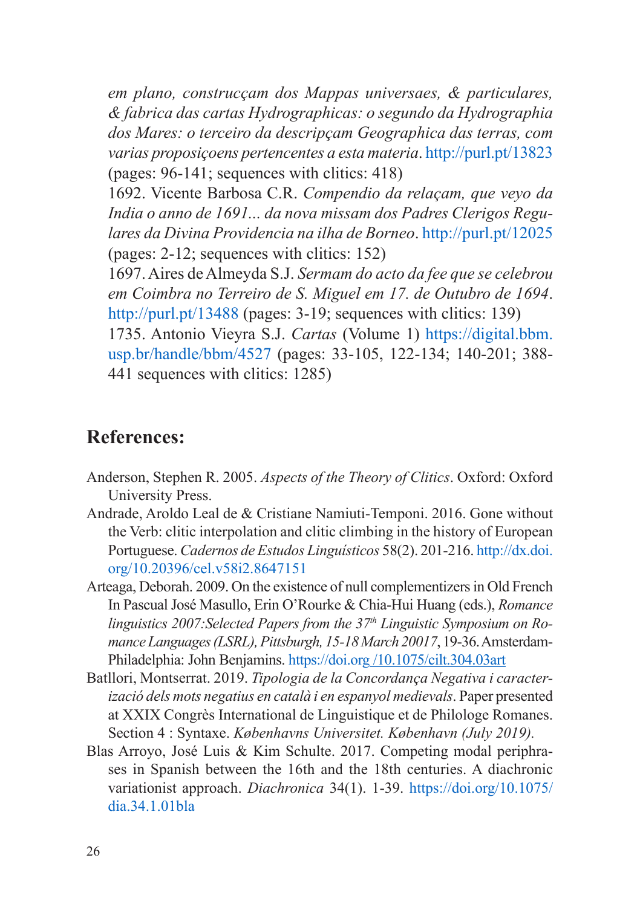<span id="page-25-0"></span>*em plano, construcçam dos Mappas universaes, & particulares, & fabrica das cartas Hydrographicas: o segundo da Hydrographia dos Mares: o terceiro da descripçam Geographica das terras, com varias proposiçoens pertencentes a esta materia*.<http://purl.pt/13823> (pages: 96-141; sequences with clitics: 418)

1692. Vicente Barbosa C.R. *Compendio da relaçam, que veyo da India o anno de 1691... da nova missam dos Padres Clerigos Regulares da Divina Providencia na ilha de Borneo*.<http://purl.pt/12025> (pages: 2-12; sequences with clitics: 152)

1697. Aires de Almeyda S.J. *Sermam do acto da fee que se celebrou em Coimbra no Terreiro de S. Miguel em 17. de Outubro de 1694*. <http://purl.pt/13488>(pages: 3-19; sequences with clitics: 139)

1735. Antonio Vieyra S.J. *Cartas* (Volume 1) [https://digital.bbm.](https://digital.bbm.usp.br/handle/bbm/4527) [usp.br/handle/bbm/4527](https://digital.bbm.usp.br/handle/bbm/4527) (pages: 33-105, 122-134; 140-201; 388- 441 sequences with clitics: 1285)

#### **References:**

- Anderson, Stephen R. 2005. *Aspects of the Theory of Clitics*. Oxford: Oxford University Press.
- Andrade, Aroldo Leal de & Cristiane Namiuti-Temponi. 2016. Gone without the Verb: clitic interpolation and clitic climbing in the history of European Portuguese. *Cadernos de Estudos Linguísticos* 58(2). 201-216. [http://dx.doi.](http://dx.doi.org/10.20396/cel.v58i2.8647151) [org/10.20396/cel.v58i2.8647151](http://dx.doi.org/10.20396/cel.v58i2.8647151)
- Arteaga, Deborah. 2009. On the existence of null complementizers in Old French In Pascual José Masullo, Erin O'Rourke & Chia-Hui Huang (eds.), *Romance linguistics 2007:Selected Papers from the 37th Linguistic Symposium on RomanceLanguages(LSRL),Pittsburgh, 15-18March 20017*, 19-36. Amsterdam-Philadelphia: John Benjamins. <https://doi.org> /10.1075/cilt.304.03art
- Batllori, Montserrat. 2019. *Tipologia de la Concordança Negativa i caracterizació dels mots negatius en català i en espanyol medievals*. Paper presented at XXIX Congrès International de Linguistique et de Philologe Romanes. Section 4 : Syntaxe. *Københavns Universitet. København (July 2019).*
- Blas Arroyo, José Luis & Kim Schulte. 2017. Competing modal periphrases in Spanish between the 16th and the 18th centuries. A diachronic variationist approach. *Diachronica* 34(1). 1-39. [https://doi.org/10.1075/](https://doi.org/10.1075/dia.34.1.01bla) [dia.34.1.01bla](https://doi.org/10.1075/dia.34.1.01bla)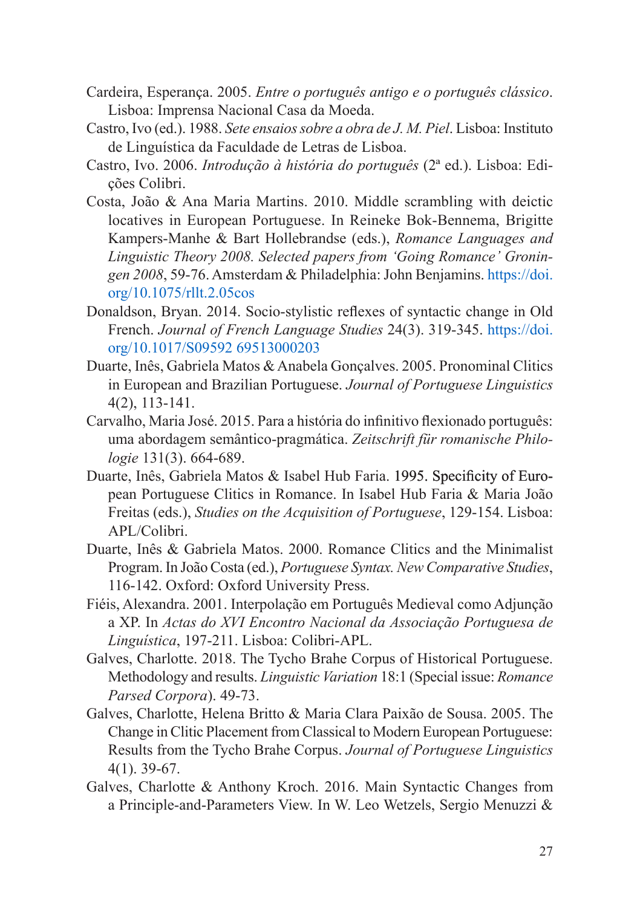- Cardeira, Esperança. 2005. *Entre o português antigo e o português clássico*. Lisboa: Imprensa Nacional Casa da Moeda.
- Castro, Ivo (ed.). 1988. *Sete ensaiossobre a obra de J. M. Piel*. Lisboa: Instituto de Linguística da Faculdade de Letras de Lisboa.
- Castro, Ivo. 2006. *Introdução à história do português* (2ª ed.). Lisboa: Edições Colibri.
- Costa, João & Ana Maria Martins. 2010. Middle scrambling with deictic locatives in European Portuguese. In Reineke Bok-Bennema, Brigitte Kampers-Manhe & Bart Hollebrandse (eds.), *Romance Languages and Linguistic Theory 2008. Selected papers from 'Going Romance' Groningen 2008*, 59-76. Amsterdam & Philadelphia: John Benjamins. [https://doi.](https://doi.org/10.1075/rllt.2.05cos) [org/10.1075/rllt.2.05cos](https://doi.org/10.1075/rllt.2.05cos)
- Donaldson, Bryan. 2014. Socio-stylistic reflexes of syntactic change in Old French. *Journal of French Language Studies* 24(3). 319-345. [https://doi.](https://doi.org/10.1017/S09592 69513000203) [org/10.1017/S09592 69513000203](https://doi.org/10.1017/S09592 69513000203)
- Duarte, Inês, Gabriela Matos & Anabela Gonçalves. 2005. Pronominal Clitics in European and Brazilian Portuguese. *Journal of Portuguese Linguistics* 4(2), 113-141.
- Carvalho, Maria José. 2015. Para a história do infinitivo flexionado português: uma abordagem semântico-pragmática. *Zeitschrift für romanische Philologie* 131(3). 664-689.
- Duarte, Inês, Gabriela Matos & Isabel Hub Faria. 1995. Specificity of European Portuguese Clitics in Romance. In Isabel Hub Faria & Maria João Freitas (eds.), *Studies on the Acquisition of Portuguese*, 129-154. Lisboa: APL/Colibri.
- Duarte, Inês & Gabriela Matos. 2000. Romance Clitics and the Minimalist Program. In João Costa (ed.), *Portuguese Syntax.NewComparative Studies*, 116-142. Oxford: Oxford University Press.
- Fiéis, Alexandra. 2001. Interpolação em Português Medieval como Adjunção a XP. In *Actas do XVI Encontro Nacional da Associação Portuguesa de Linguística*, 197-211. Lisboa: Colibri-APL.
- Galves, Charlotte. 2018. The Tycho Brahe Corpus of Historical Portuguese. Methodology and results. *Linguistic Variation* 18:1 (Special issue: *Romance Parsed Corpora*). 49-73.
- Galves, Charlotte, Helena Britto & Maria Clara Paixão de Sousa. 2005. The Change in Clitic Placement from Classical to Modern European Portuguese: Results from the Tycho Brahe Corpus. *Journal of Portuguese Linguistics* 4(1). 39-67.
- Galves, Charlotte & Anthony Kroch. 2016. Main Syntactic Changes from a Principle‐and‐Parameters View. In W. Leo Wetzels, Sergio Menuzzi &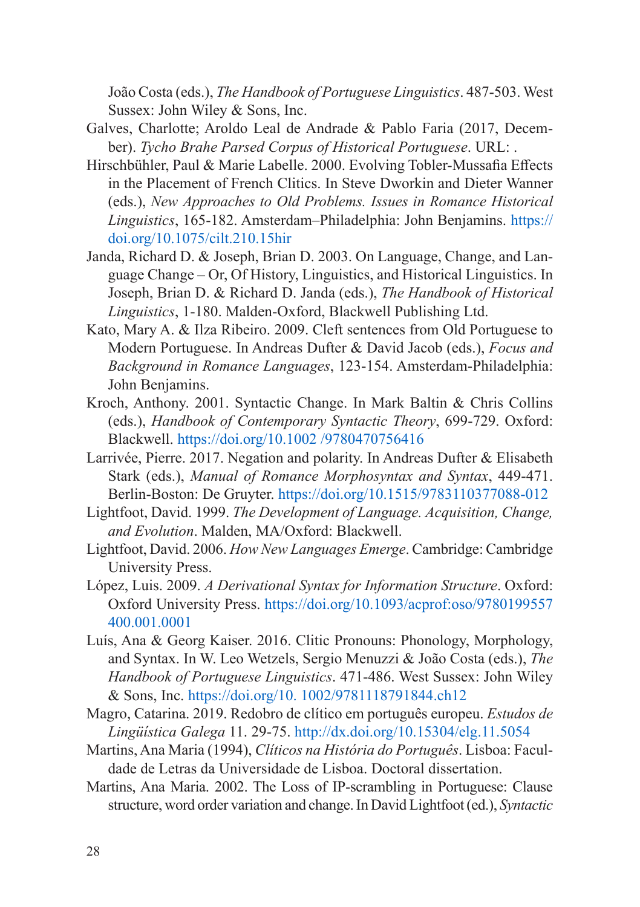João Costa (eds.), *The Handbook of Portuguese Linguistics*. 487-503. West Sussex: John Wiley & Sons, Inc.

- Galves, Charlotte; Aroldo Leal de Andrade & Pablo Faria (2017, December). *Tycho Brahe Parsed Corpus of Historical Portuguese*. URL: .
- Hirschbühler, Paul & Marie Labelle. 2000. Evolving Tobler-Mussafia Effects in the Placement of French Clitics. In Steve Dworkin and Dieter Wanner (eds.), *New Approaches to Old Problems. Issues in Romance Historical Linguistics*, 165-182. Amsterdam–Philadelphia: John Benjamins. [https://](https://doi.org/10.1075/cilt.210.15hir) [doi.org/10.1075/cilt.210.15hir](https://doi.org/10.1075/cilt.210.15hir)
- Janda, Richard D. & Joseph, Brian D. 2003. On Language, Change, and Language Change – Or, Of History, Linguistics, and Historical Linguistics. In Joseph, Brian D. & Richard D. Janda (eds.), *The Handbook of Historical Linguistics*, 1-180. Malden-Oxford, Blackwell Publishing Ltd.
- Kato, Mary A. & Ilza Ribeiro. 2009. Cleft sentences from Old Portuguese to Modern Portuguese. In Andreas Dufter & David Jacob (eds.), *Focus and Background in Romance Languages*, 123-154. Amsterdam-Philadelphia: John Benjamins.
- Kroch, Anthony. 2001. Syntactic Change. In Mark Baltin & Chris Collins (eds.), *Handbook of Contemporary Syntactic Theory*, 699-729. Oxford: Blackwell.<https://doi.org/10.1002 /9780470756416>
- Larrivée, Pierre. 2017. Negation and polarity. In Andreas Dufter & Elisabeth Stark (eds.), *Manual of Romance Morphosyntax and Syntax*, 449-471. Berlin-Boston: De Gruyter. <https://doi.org/10.1515/9783110377088-012>
- Lightfoot, David. 1999. *The Development of Language. Acquisition, Change, and Evolution*. Malden, MA/Oxford: Blackwell.
- Lightfoot, David. 2006. *How New Languages Emerge*. Cambridge: Cambridge University Press.
- López, Luis. 2009. *A Derivational Syntax for Information Structure*. Oxford: Oxford University Press. [https://doi.org/10.1093/acprof:oso/9780199557](https://doi.org/10.1093/acprof:oso/9780199557400.001.0001) [400.001.0001](https://doi.org/10.1093/acprof:oso/9780199557400.001.0001)
- Luís, Ana & Georg Kaiser. 2016. Clitic Pronouns: Phonology, Morphology, and Syntax. In W. Leo Wetzels, Sergio Menuzzi & João Costa (eds.), *The Handbook of Portuguese Linguistics*. 471-486. West Sussex: John Wiley & Sons, Inc.<https://doi.org/10. 1002/9781118791844.ch12>
- Magro, Catarina. 2019. Redobro de clítico em português europeu. *Estudos de Lingüística Galega* 11. 29-75. [http://dx.doi.org/10.15304/elg.11.505](http://dx.doi.org/10.15304/elg.11.5054)4
- Martins, Ana Maria (1994), *Clíticos na História do Português*. Lisboa: Faculdade de Letras da Universidade de Lisboa. Doctoral dissertation.
- Martins, Ana Maria. 2002. The Loss of IP-scrambling in Portuguese: Clause structure, word order variation and change. In David Lightfoot (ed.), *Syntactic*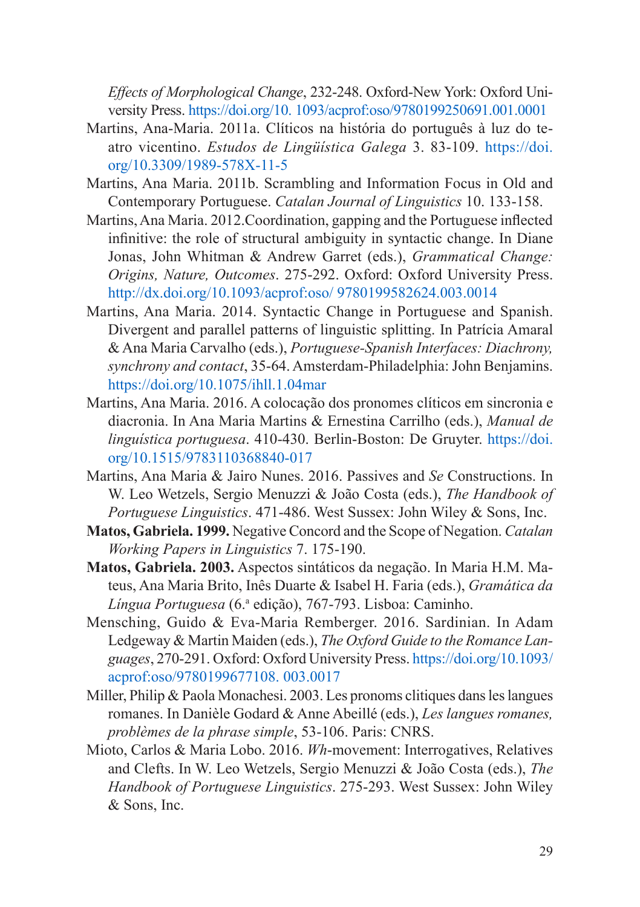*Effects of Morphological Change*, 232-248. Oxford-New York: Oxford University Press. <https://doi.org/10. 1093/acprof:oso/9780199250691.001.0001>

- Martins, Ana-Maria. 2011a. Clíticos na história do português à luz do teatro vicentino. *Estudos de Lingüística Galega* 3. 83-109. [https://doi.](https://doi.org/10.3309/1989-578X-11-5) [org/10.3309/1989-578X-11-5](https://doi.org/10.3309/1989-578X-11-5)
- Martins, Ana Maria. 2011b. Scrambling and Information Focus in Old and Contemporary Portuguese. *Catalan Journal of Linguistics* 10. 133-158.
- Martins, Ana Maria. 2012.Coordination, gapping and the Portuguese inflected infinitive: the role of structural ambiguity in syntactic change. In Diane Jonas, John Whitman & Andrew Garret (eds.), *Grammatical Change: Origins, Nature, Outcomes*. 275-292. Oxford: Oxford University Press. [http://dx.doi.org/10.1093/acprof:oso/ 9780199582624.003.001](http://dx.doi.org/10.1093/acprof:oso/ 9780199582624.003.0014)4
- Martins, Ana Maria. 2014. Syntactic Change in Portuguese and Spanish. Divergent and parallel patterns of linguistic splitting. In Patrícia Amaral & Ana Maria Carvalho (eds.), *Portuguese-Spanish Interfaces: Diachrony, synchrony and contact*, 35-64. Amsterdam-Philadelphia: John Benjamins. <https://doi.org/10.1075/ihll.1.04mar>
- Martins, Ana Maria. 2016. A colocação dos pronomes clíticos em sincronia e diacronia. In Ana Maria Martins & Ernestina Carrilho (eds.), *Manual de linguística portuguesa*. 410-430. Berlin-Boston: De Gruyter. [https://doi.](https://doi.org/10.1515/9783110368840-017) [org/10.1515/9783110368840-017](https://doi.org/10.1515/9783110368840-017)
- Martins, Ana Maria & Jairo Nunes. 2016. Passives and *Se* Constructions. In W. Leo Wetzels, Sergio Menuzzi & João Costa (eds.), *The Handbook of Portuguese Linguistics*. 471-486. West Sussex: John Wiley & Sons, Inc.
- **Matos, Gabriela. 1999.** Negative Concord and the Scope of Negation. *Catalan Working Papers in Linguistics* 7. 175-190.
- **Matos, Gabriela. 2003.** Aspectos sintáticos da negação. In Maria H.M. Mateus, Ana Maria Brito, Inês Duarte & Isabel H. Faria (eds.), *Gramática da Língua Portuguesa* (6.a edição), 767-793. Lisboa: Caminho.
- Mensching, Guido & Eva-Maria Remberger. 2016. Sardinian. In Adam Ledgeway & Martin Maiden (eds.), *The Oxford Guide to the Romance Languages*, 270-291. Oxford: Oxford University Press. [https://doi.org/10.1093/](https://doi.org/10.1093/acprof:oso/9780199677108. 003.0017) [acprof:oso/9780199677108. 003.0017](https://doi.org/10.1093/acprof:oso/9780199677108. 003.0017)
- Miller, Philip & Paola Monachesi. 2003. Les pronoms clitiques dans les langues romanes. In Danièle Godard & Anne Abeillé (eds.), *Les langues romanes, problèmes de la phrase simple*, 53-106. Paris: CNRS.
- Mioto, Carlos & Maria Lobo. 2016. *Wh*-movement: Interrogatives, Relatives and Clefts. In W. Leo Wetzels, Sergio Menuzzi & João Costa (eds.), *The Handbook of Portuguese Linguistics*. 275-293. West Sussex: John Wiley & Sons, Inc.